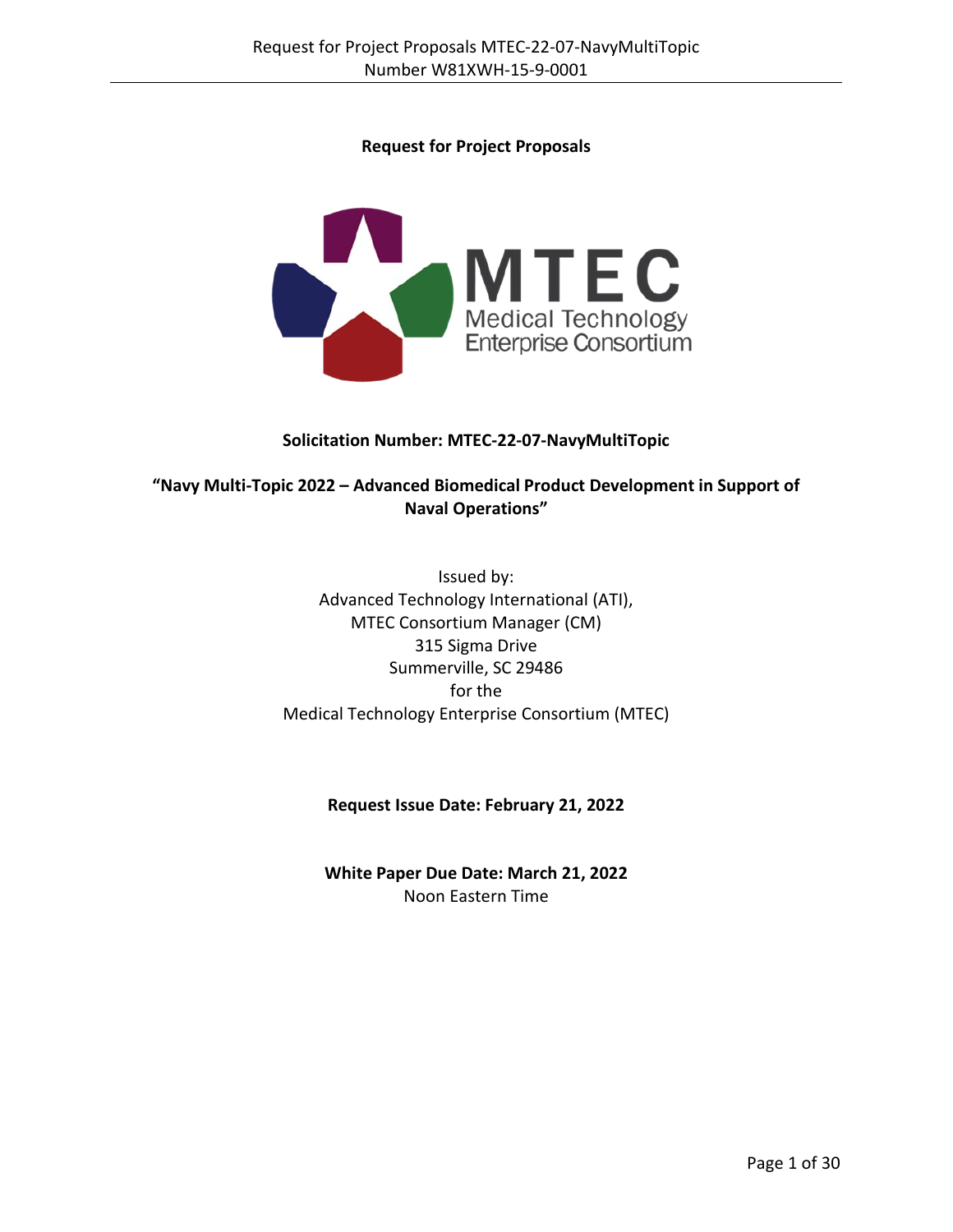## **Request for Project Proposals**



#### **Solicitation Number: MTEC-22-07-NavyMultiTopic**

## **"Navy Multi-Topic 2022 – Advanced Biomedical Product Development in Support of Naval Operations"**

Issued by: Advanced Technology International (ATI), MTEC Consortium Manager (CM) 315 Sigma Drive Summerville, SC 29486 for the Medical Technology Enterprise Consortium (MTEC)

## **Request Issue Date: February 21, 2022**

**White Paper Due Date: March 21, 2022** Noon Eastern Time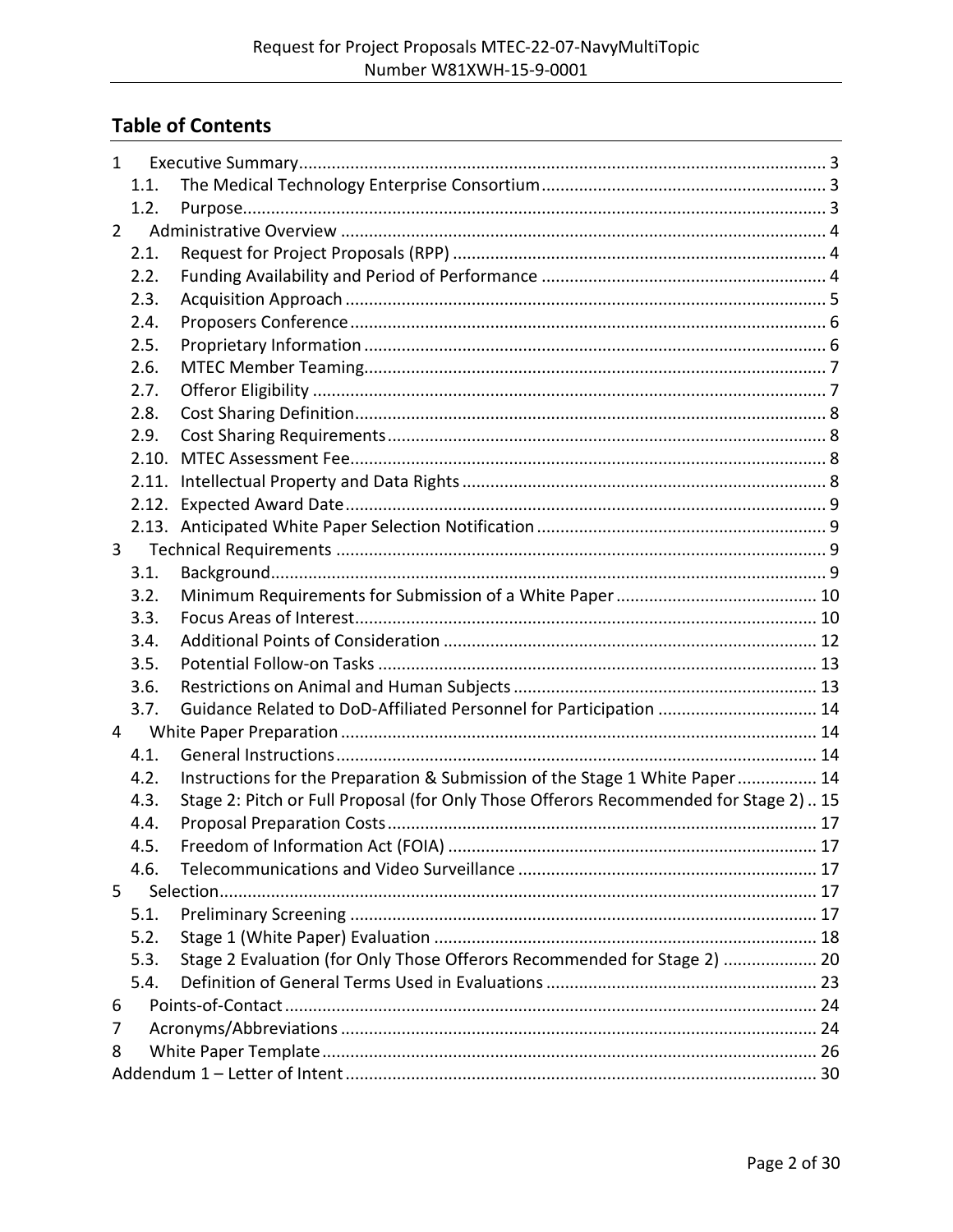# **Table of Contents**

| $\mathbf{1}$ |       |                                                                                       |  |
|--------------|-------|---------------------------------------------------------------------------------------|--|
|              | 1.1.  |                                                                                       |  |
|              | 1.2.  |                                                                                       |  |
| $\mathbf{2}$ |       |                                                                                       |  |
|              | 2.1.  |                                                                                       |  |
|              | 2.2.  |                                                                                       |  |
|              | 2.3.  |                                                                                       |  |
|              | 2.4.  |                                                                                       |  |
|              | 2.5.  |                                                                                       |  |
|              | 2.6.  |                                                                                       |  |
|              | 2.7.  |                                                                                       |  |
|              | 2.8.  |                                                                                       |  |
|              | 2.9.  |                                                                                       |  |
|              | 2.10. |                                                                                       |  |
|              | 2.11. |                                                                                       |  |
|              | 2.12. |                                                                                       |  |
|              |       |                                                                                       |  |
| 3            |       |                                                                                       |  |
|              | 3.1.  |                                                                                       |  |
|              | 3.2.  |                                                                                       |  |
|              | 3.3.  |                                                                                       |  |
|              | 3.4.  |                                                                                       |  |
|              | 3.5.  |                                                                                       |  |
|              | 3.6.  |                                                                                       |  |
|              | 3.7.  | Guidance Related to DoD-Affiliated Personnel for Participation  14                    |  |
| 4            |       |                                                                                       |  |
|              | 4.1.  |                                                                                       |  |
|              | 4.2.  | Instructions for the Preparation & Submission of the Stage 1 White Paper 14           |  |
|              | 4.3.  | Stage 2: Pitch or Full Proposal (for Only Those Offerors Recommended for Stage 2)  15 |  |
|              | 4.4.  |                                                                                       |  |
|              | 4.5.  |                                                                                       |  |
|              | 4.6.  |                                                                                       |  |
| 5            |       |                                                                                       |  |
|              | 5.1.  |                                                                                       |  |
|              | 5.2.  |                                                                                       |  |
|              | 5.3.  | Stage 2 Evaluation (for Only Those Offerors Recommended for Stage 2)  20              |  |
|              | 5.4.  |                                                                                       |  |
| 6            |       |                                                                                       |  |
| 7            |       |                                                                                       |  |
| 8            |       |                                                                                       |  |
|              |       |                                                                                       |  |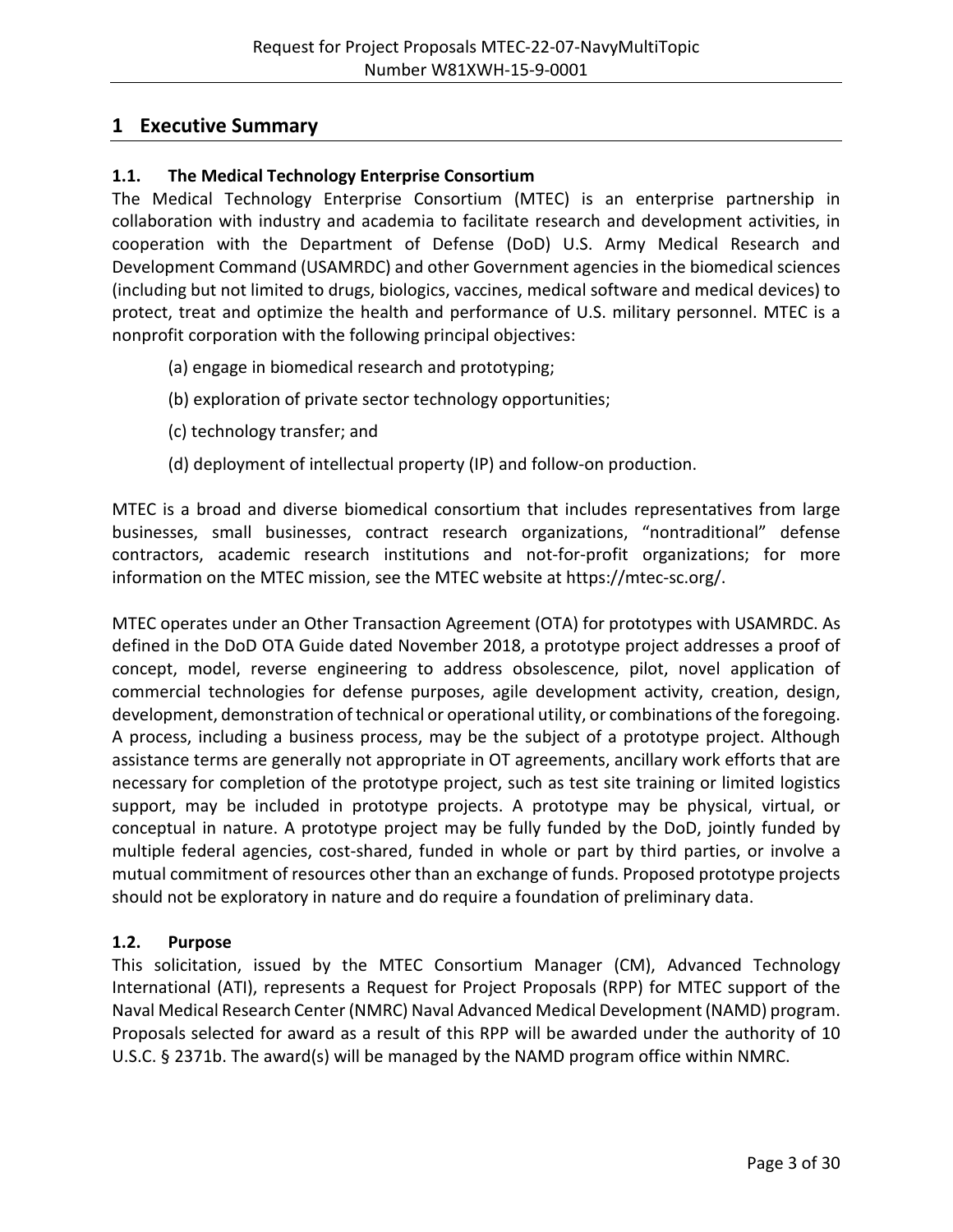## <span id="page-2-0"></span>**1 Executive Summary**

## <span id="page-2-1"></span>**1.1. The Medical Technology Enterprise Consortium**

The Medical Technology Enterprise Consortium (MTEC) is an enterprise partnership in collaboration with industry and academia to facilitate research and development activities, in cooperation with the Department of Defense (DoD) U.S. Army Medical Research and Development Command (USAMRDC) and other Government agencies in the biomedical sciences (including but not limited to drugs, biologics, vaccines, medical software and medical devices) to protect, treat and optimize the health and performance of U.S. military personnel. MTEC is a nonprofit corporation with the following principal objectives:

- (a) engage in biomedical research and prototyping;
- (b) exploration of private sector technology opportunities;
- (c) technology transfer; and
- (d) deployment of intellectual property (IP) and follow-on production.

MTEC is a broad and diverse biomedical consortium that includes representatives from large businesses, small businesses, contract research organizations, "nontraditional" defense contractors, academic research institutions and not-for-profit organizations; for more information on the MTEC mission, see the MTEC website at [https://mtec-sc.org/.](https://mtec-sc.org/)

MTEC operates under an Other Transaction Agreement (OTA) for prototypes with USAMRDC. As defined in the DoD OTA Guide dated November 2018, a prototype project addresses a proof of concept, model, reverse engineering to address obsolescence, pilot, novel application of commercial technologies for defense purposes, agile development activity, creation, design, development, demonstration of technical or operational utility, or combinations of the foregoing. A process, including a business process, may be the subject of a prototype project. Although assistance terms are generally not appropriate in OT agreements, ancillary work efforts that are necessary for completion of the prototype project, such as test site training or limited logistics support, may be included in prototype projects. A prototype may be physical, virtual, or conceptual in nature. A prototype project may be fully funded by the DoD, jointly funded by multiple federal agencies, cost-shared, funded in whole or part by third parties, or involve a mutual commitment of resources other than an exchange of funds. Proposed prototype projects should not be exploratory in nature and do require a foundation of preliminary data.

## <span id="page-2-2"></span>**1.2. Purpose**

This solicitation, issued by the MTEC Consortium Manager (CM), Advanced Technology International (ATI), represents a Request for Project Proposals (RPP) for MTEC support of the Naval Medical Research Center (NMRC) Naval Advanced Medical Development (NAMD) program. Proposals selected for award as a result of this RPP will be awarded under the authority of 10 U.S.C. § 2371b. The award(s) will be managed by the NAMD program office within NMRC.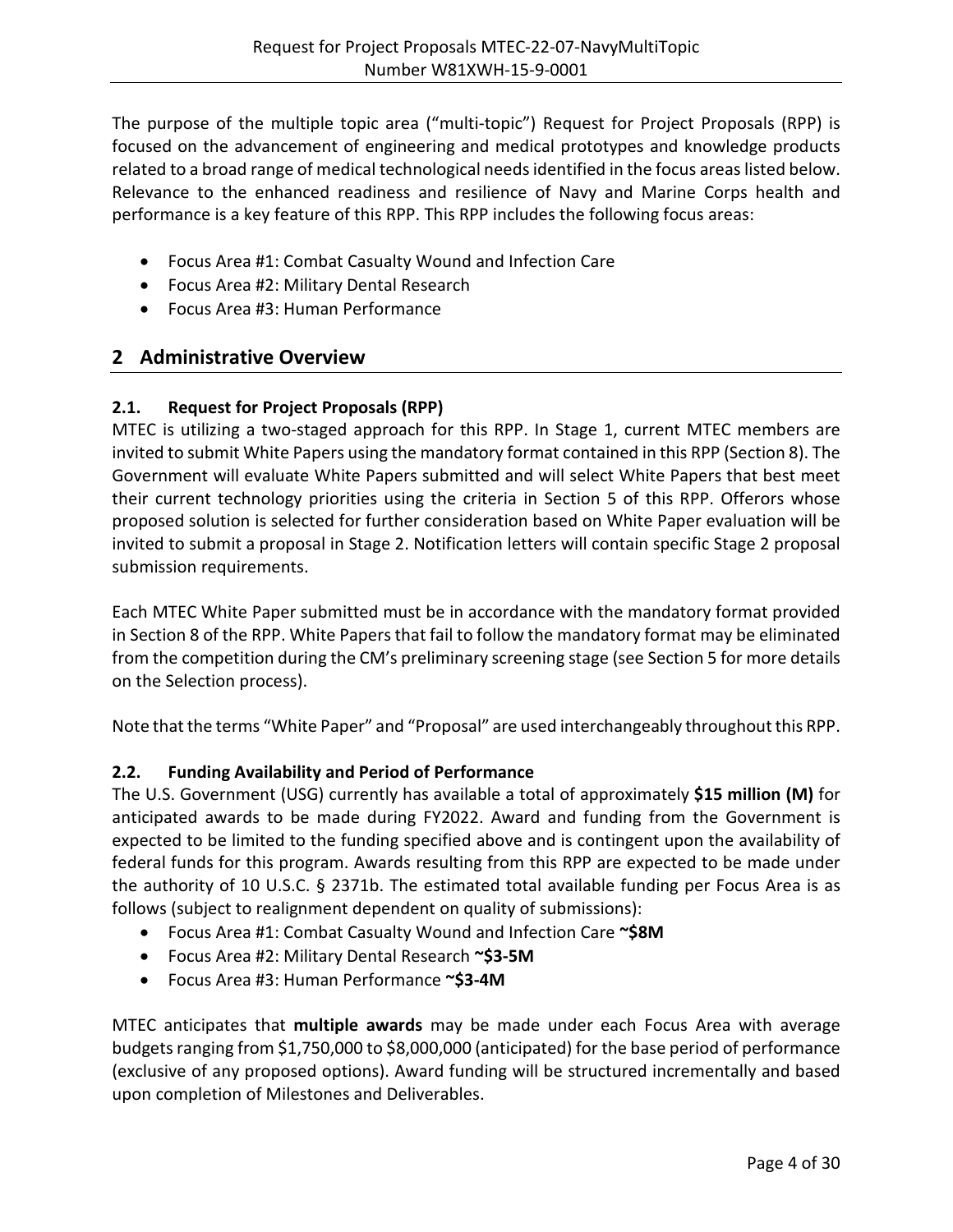The purpose of the multiple topic area ("multi-topic") Request for Project Proposals (RPP) is focused on the advancement of engineering and medical prototypes and knowledge products related to a broad range of medical technological needs identified in the focus areas listed below. Relevance to the enhanced readiness and resilience of Navy and Marine Corps health and performance is a key feature of this RPP. This RPP includes the following focus areas:

- Focus Area #1: Combat Casualty Wound and Infection Care
- Focus Area #2: Military Dental Research
- Focus Area #3: Human Performance

# <span id="page-3-0"></span>**2 Administrative Overview**

## <span id="page-3-1"></span>**2.1. Request for Project Proposals (RPP)**

MTEC is utilizing a two-staged approach for this RPP. In Stage 1, current MTEC members are invited to submit White Papers using the mandatory format contained in this RPP (Section 8). The Government will evaluate White Papers submitted and will select White Papers that best meet their current technology priorities using the criteria in Section 5 of this RPP. Offerors whose proposed solution is selected for further consideration based on White Paper evaluation will be invited to submit a proposal in Stage 2. Notification letters will contain specific Stage 2 proposal submission requirements.

Each MTEC White Paper submitted must be in accordance with the mandatory format provided in Section 8 of the RPP. White Papers that fail to follow the mandatory format may be eliminated from the competition during the CM's preliminary screening stage (see Section 5 for more details on the Selection process).

Note that the terms "White Paper" and "Proposal" are used interchangeably throughout this RPP.

## <span id="page-3-2"></span>**2.2. Funding Availability and Period of Performance**

The U.S. Government (USG) currently has available a total of approximately **\$15 million (M)** for anticipated awards to be made during FY2022. Award and funding from the Government is expected to be limited to the funding specified above and is contingent upon the availability of federal funds for this program. Awards resulting from this RPP are expected to be made under the authority of 10 U.S.C. § 2371b. The estimated total available funding per Focus Area is as follows (subject to realignment dependent on quality of submissions):

- Focus Area #1: Combat Casualty Wound and Infection Care **~\$8M**
- Focus Area #2: Military Dental Research **~\$3-5M**
- Focus Area #3: Human Performance **~\$3-4M**

MTEC anticipates that **multiple awards** may be made under each Focus Area with average budgets ranging from \$1,750,000 to \$8,000,000 (anticipated) for the base period of performance (exclusive of any proposed options). Award funding will be structured incrementally and based upon completion of Milestones and Deliverables.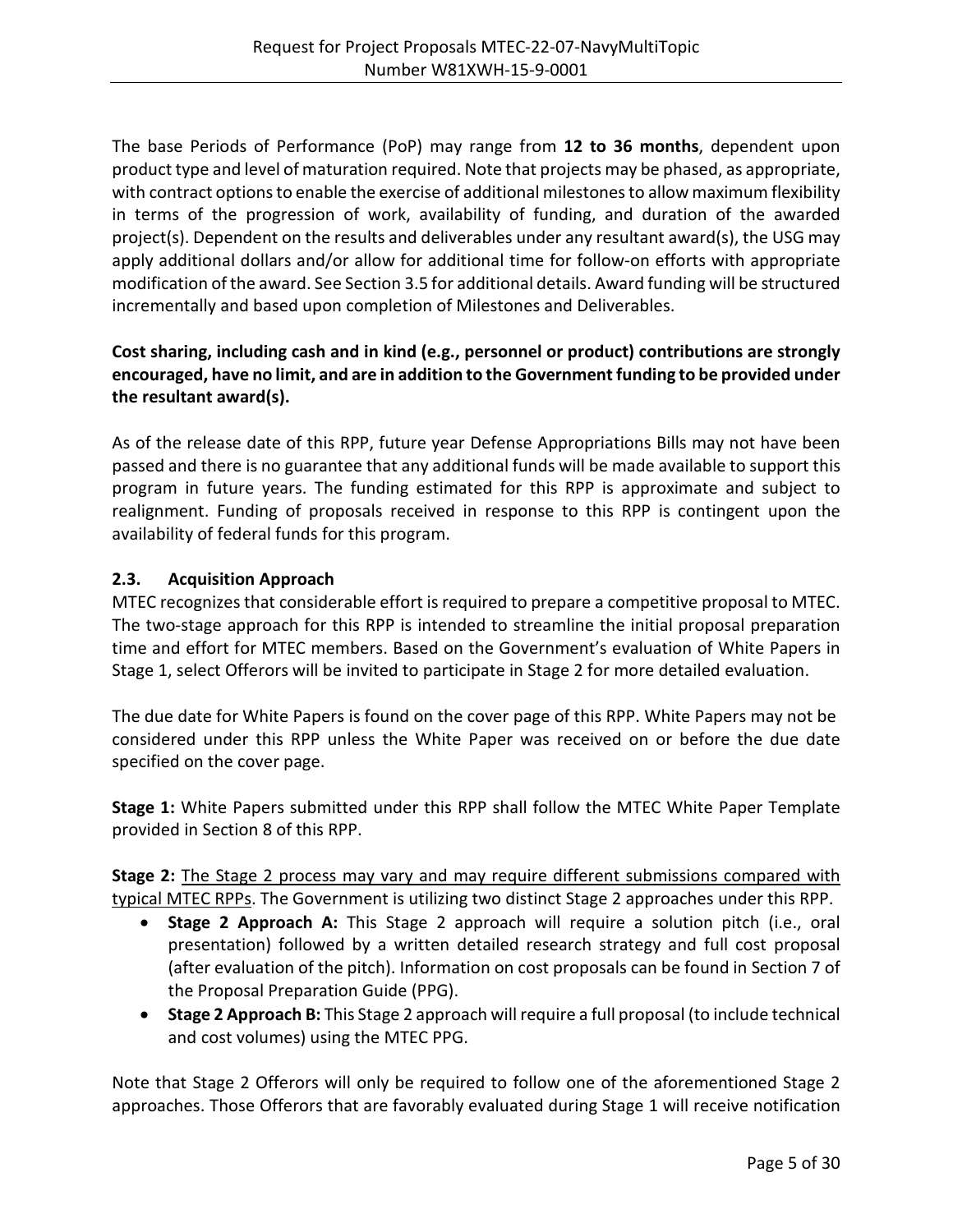The base Periods of Performance (PoP) may range from **12 to 36 months**, dependent upon product type and level of maturation required. Note that projects may be phased, as appropriate, with contract options to enable the exercise of additional milestones to allow maximum flexibility in terms of the progression of work, availability of funding, and duration of the awarded project(s). Dependent on the results and deliverables under any resultant award(s), the USG may apply additional dollars and/or allow for additional time for follow-on efforts with appropriate modification of the award. See Section 3.5 for additional details. Award funding will be structured incrementally and based upon completion of Milestones and Deliverables.

## **Cost sharing, including cash and in kind (e.g., personnel or product) contributions are strongly encouraged, have no limit, and are in addition to the Government funding to be provided under the resultant award(s).**

As of the release date of this RPP, future year Defense Appropriations Bills may not have been passed and there is no guarantee that any additional funds will be made available to support this program in future years. The funding estimated for this RPP is approximate and subject to realignment. Funding of proposals received in response to this RPP is contingent upon the availability of federal funds for this program.

## <span id="page-4-0"></span>**2.3. Acquisition Approach**

MTEC recognizes that considerable effort is required to prepare a competitive proposal to MTEC. The two-stage approach for this RPP is intended to streamline the initial proposal preparation time and effort for MTEC members. Based on the Government's evaluation of White Papers in Stage 1, select Offerors will be invited to participate in Stage 2 for more detailed evaluation.

The due date for White Papers is found on the cover page of this RPP. White Papers may not be considered under this RPP unless the White Paper was received on or before the due date specified on the cover page.

**Stage 1:** White Papers submitted under this RPP shall follow the MTEC White Paper Template provided in Section 8 of this RPP.

**Stage 2:** The Stage 2 process may vary and may require different submissions compared with typical MTEC RPPs. The Government is utilizing two distinct Stage 2 approaches under this RPP.

- **Stage 2 Approach A:** This Stage 2 approach will require a solution pitch (i.e., oral presentation) followed by a written detailed research strategy and full cost proposal (after evaluation of the pitch). Information on cost proposals can be found in Section 7 of the Proposal Preparation Guide (PPG).
- **Stage 2 Approach B:** This Stage 2 approach will require a full proposal (to include technical and cost volumes) using the MTEC PPG.

Note that Stage 2 Offerors will only be required to follow one of the aforementioned Stage 2 approaches. Those Offerors that are favorably evaluated during Stage 1 will receive notification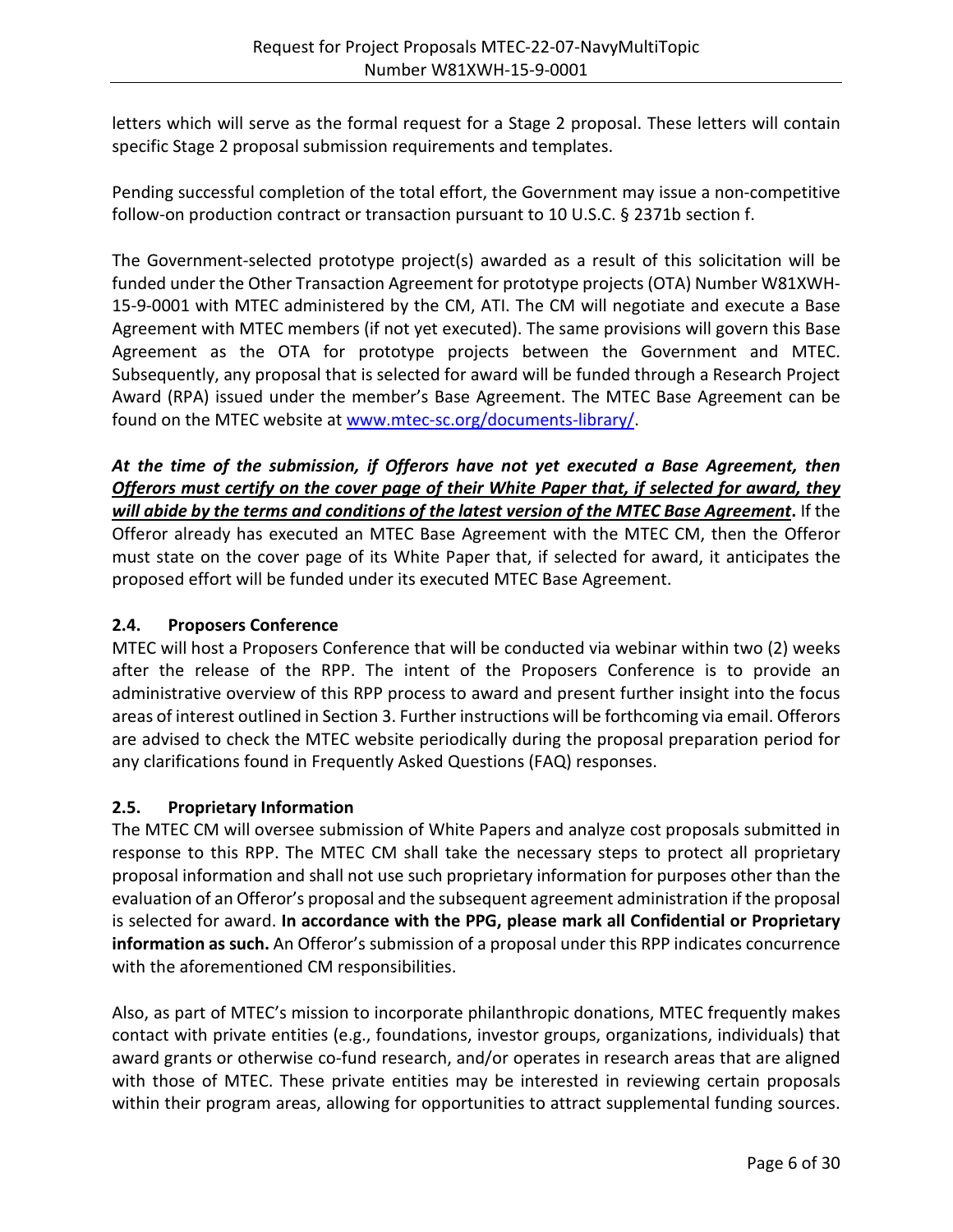letters which will serve as the formal request for a Stage 2 proposal. These letters will contain specific Stage 2 proposal submission requirements and templates.

Pending successful completion of the total effort, the Government may issue a non-competitive follow-on production contract or transaction pursuant to 10 U.S.C. § 2371b section f.

The Government-selected prototype project(s) awarded as a result of this solicitation will be funded under the Other Transaction Agreement for prototype projects (OTA) Number W81XWH-15-9-0001 with MTEC administered by the CM, ATI. The CM will negotiate and execute a Base Agreement with MTEC members (if not yet executed). The same provisions will govern this Base Agreement as the OTA for prototype projects between the Government and MTEC. Subsequently, any proposal that is selected for award will be funded through a Research Project Award (RPA) issued under the member's Base Agreement. The MTEC Base Agreement can be found on the MTEC website at [www.mtec-sc.org/documents-library/.](http://www.mtec-sc.org/documents-library/)

*At the time of the submission, if Offerors have not yet executed a Base Agreement, then Offerors must certify on the cover page of their White Paper that, if selected for award, they will abide by the terms and conditions of the latest version of the MTEC Base Agreement***.** If the Offeror already has executed an MTEC Base Agreement with the MTEC CM, then the Offeror must state on the cover page of its White Paper that, if selected for award, it anticipates the proposed effort will be funded under its executed MTEC Base Agreement.

## <span id="page-5-0"></span>**2.4. Proposers Conference**

MTEC will host a Proposers Conference that will be conducted via webinar within two (2) weeks after the release of the RPP. The intent of the Proposers Conference is to provide an administrative overview of this RPP process to award and present further insight into the focus areas of interest outlined in Section 3. Further instructions will be forthcoming via email. Offerors are advised to check the MTEC website periodically during the proposal preparation period for any clarifications found in Frequently Asked Questions (FAQ) responses.

## <span id="page-5-1"></span>**2.5. Proprietary Information**

The MTEC CM will oversee submission of White Papers and analyze cost proposals submitted in response to this RPP. The MTEC CM shall take the necessary steps to protect all proprietary proposal information and shall not use such proprietary information for purposes other than the evaluation of an Offeror's proposal and the subsequent agreement administration if the proposal is selected for award. **In accordance with the PPG, please mark all Confidential or Proprietary information as such.** An Offeror's submission of a proposal under this RPP indicates concurrence with the aforementioned CM responsibilities.

Also, as part of MTEC's mission to incorporate philanthropic donations, MTEC frequently makes contact with private entities (e.g., foundations, investor groups, organizations, individuals) that award grants or otherwise co-fund research, and/or operates in research areas that are aligned with those of MTEC. These private entities may be interested in reviewing certain proposals within their program areas, allowing for opportunities to attract supplemental funding sources.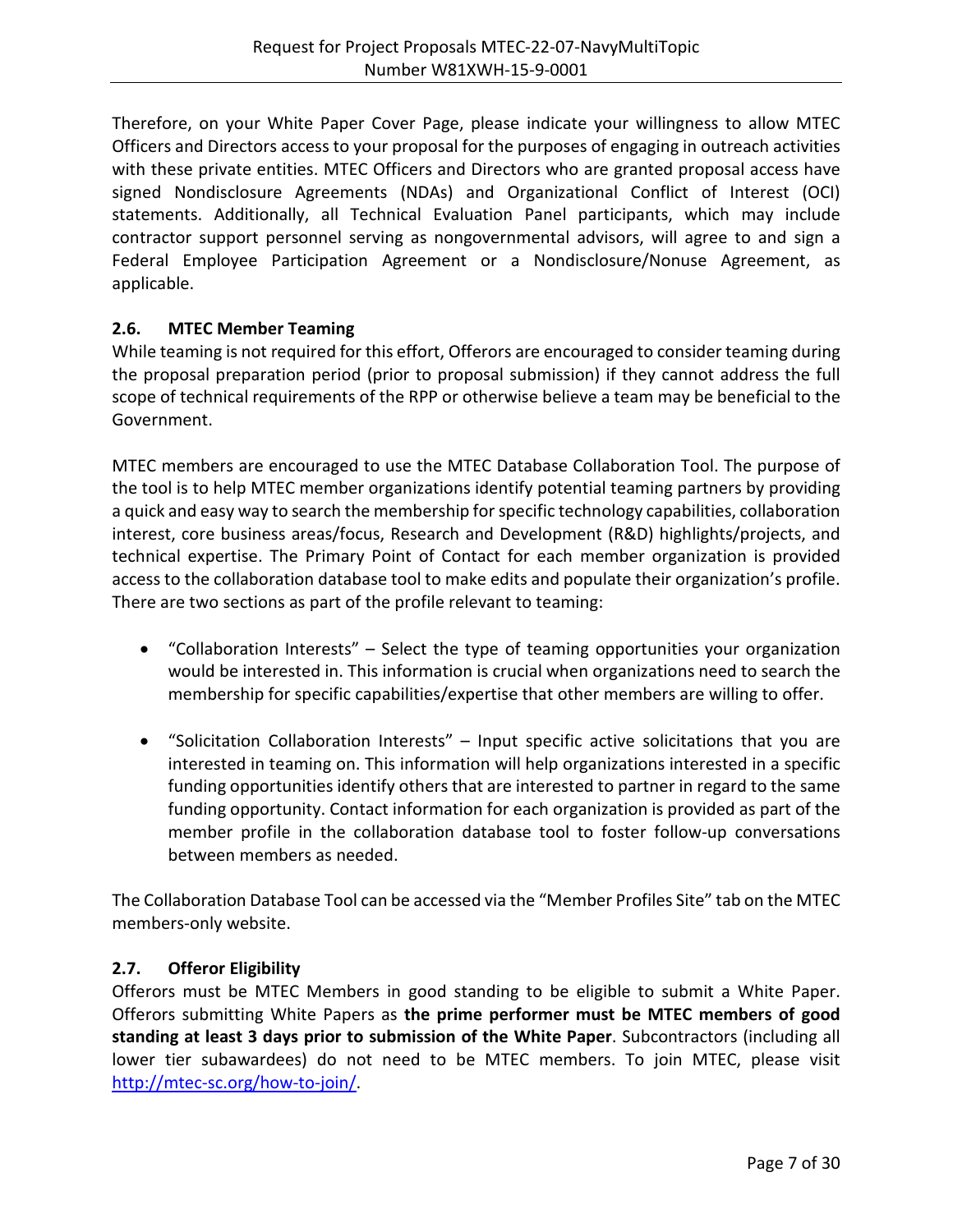Therefore, on your White Paper Cover Page, please indicate your willingness to allow MTEC Officers and Directors access to your proposal for the purposes of engaging in outreach activities with these private entities. MTEC Officers and Directors who are granted proposal access have signed Nondisclosure Agreements (NDAs) and Organizational Conflict of Interest (OCI) statements. Additionally, all Technical Evaluation Panel participants, which may include contractor support personnel serving as nongovernmental advisors, will agree to and sign a Federal Employee Participation Agreement or a Nondisclosure/Nonuse Agreement, as applicable.

## <span id="page-6-0"></span>**2.6. MTEC Member Teaming**

While teaming is not required for this effort, Offerors are encouraged to consider teaming during the proposal preparation period (prior to proposal submission) if they cannot address the full scope of technical requirements of the RPP or otherwise believe a team may be beneficial to the Government.

MTEC members are encouraged to use the MTEC Database Collaboration Tool. The purpose of the tool is to help MTEC member organizations identify potential teaming partners by providing a quick and easy way to search the membership for specific technology capabilities, collaboration interest, core business areas/focus, Research and Development (R&D) highlights/projects, and technical expertise. The Primary Point of Contact for each member organization is provided access to the collaboration database tool to make edits and populate their organization's profile. There are two sections as part of the profile relevant to teaming:

- "Collaboration Interests" Select the type of teaming opportunities your organization would be interested in. This information is crucial when organizations need to search the membership for specific capabilities/expertise that other members are willing to offer.
- "Solicitation Collaboration Interests" Input specific active solicitations that you are interested in teaming on. This information will help organizations interested in a specific funding opportunities identify others that are interested to partner in regard to the same funding opportunity. Contact information for each organization is provided as part of the member profile in the collaboration database tool to foster follow-up conversations between members as needed.

The Collaboration Database Tool can be accessed via the "Member Profiles Site" tab on the MTEC members-only website.

## <span id="page-6-1"></span>**2.7. Offeror Eligibility**

Offerors must be MTEC Members in good standing to be eligible to submit a White Paper. Offerors submitting White Papers as **the prime performer must be MTEC members of good standing at least 3 days prior to submission of the White Paper**. Subcontractors (including all lower tier subawardees) do not need to be MTEC members. To join MTEC, please visit [http://mtec-sc.org/how-to-join/.](http://mtec-sc.org/how-to-join/)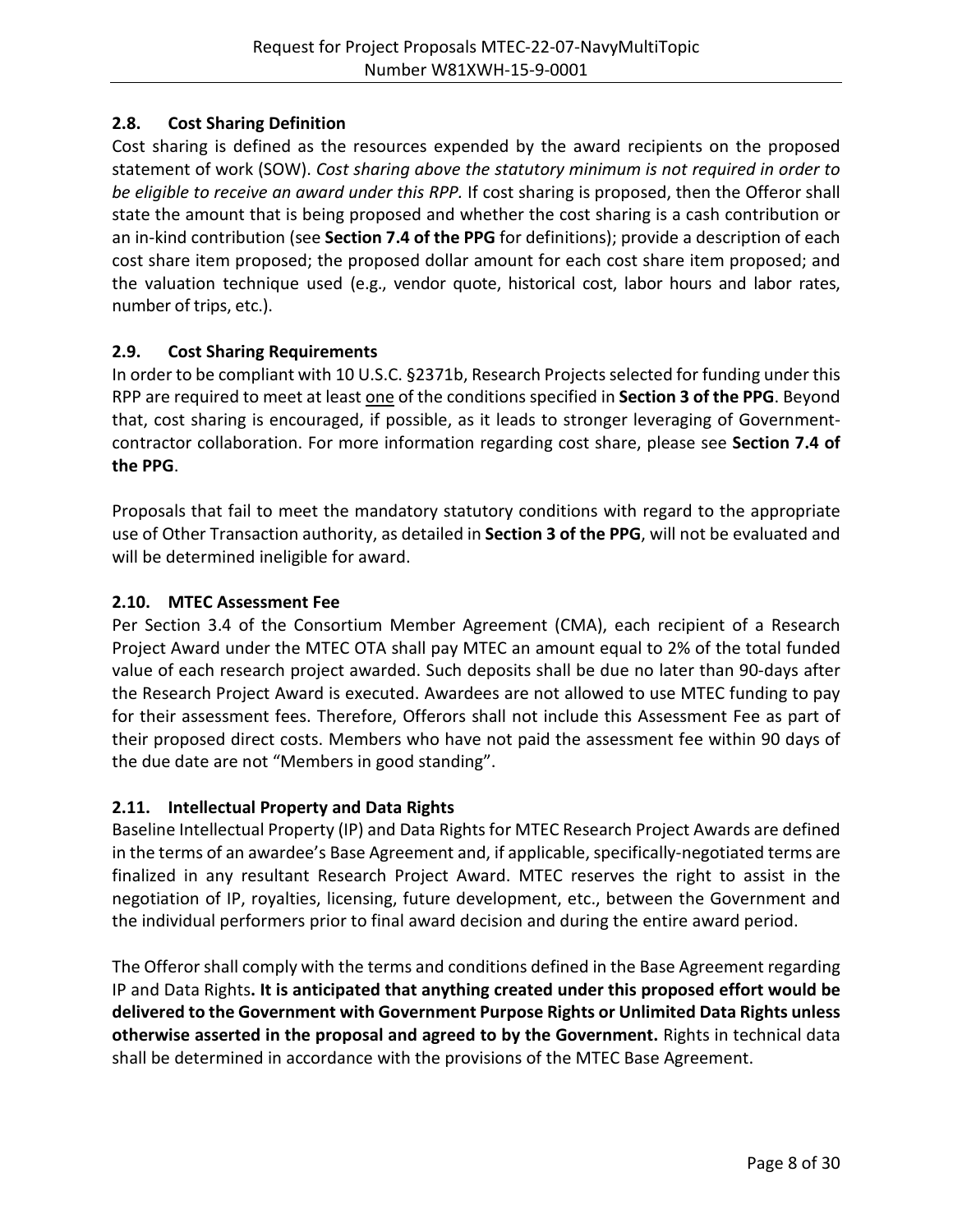## <span id="page-7-0"></span>**2.8. Cost Sharing Definition**

Cost sharing is defined as the resources expended by the award recipients on the proposed statement of work (SOW). *Cost sharing above the statutory minimum is not required in order to be eligible to receive an award under this RPP.* If cost sharing is proposed, then the Offeror shall state the amount that is being proposed and whether the cost sharing is a cash contribution or an in-kind contribution (see **Section 7.4 of the PPG** for definitions); provide a description of each cost share item proposed; the proposed dollar amount for each cost share item proposed; and the valuation technique used (e.g., vendor quote, historical cost, labor hours and labor rates, number of trips, etc.).

## <span id="page-7-1"></span>**2.9. Cost Sharing Requirements**

In order to be compliant with 10 U.S.C. §2371b, Research Projects selected for funding under this RPP are required to meet at least one of the conditions specified in **Section 3 of the PPG**. Beyond that, cost sharing is encouraged, if possible, as it leads to stronger leveraging of Governmentcontractor collaboration. For more information regarding cost share, please see **Section 7.4 of the PPG**.

Proposals that fail to meet the mandatory statutory conditions with regard to the appropriate use of Other Transaction authority, as detailed in **Section 3 of the PPG**, will not be evaluated and will be determined ineligible for award.

## <span id="page-7-2"></span>**2.10. MTEC Assessment Fee**

Per Section 3.4 of the Consortium Member Agreement (CMA), each recipient of a Research Project Award under the MTEC OTA shall pay MTEC an amount equal to 2% of the total funded value of each research project awarded. Such deposits shall be due no later than 90-days after the Research Project Award is executed. Awardees are not allowed to use MTEC funding to pay for their assessment fees. Therefore, Offerors shall not include this Assessment Fee as part of their proposed direct costs. Members who have not paid the assessment fee within 90 days of the due date are not "Members in good standing".

## <span id="page-7-3"></span>**2.11. Intellectual Property and Data Rights**

Baseline Intellectual Property (IP) and Data Rights for MTEC Research Project Awards are defined in the terms of an awardee's Base Agreement and, if applicable, specifically-negotiated terms are finalized in any resultant Research Project Award. MTEC reserves the right to assist in the negotiation of IP, royalties, licensing, future development, etc., between the Government and the individual performers prior to final award decision and during the entire award period.

The Offeror shall comply with the terms and conditions defined in the Base Agreement regarding IP and Data Rights**. It is anticipated that anything created under this proposed effort would be delivered to the Government with Government Purpose Rights or Unlimited Data Rights unless otherwise asserted in the proposal and agreed to by the Government.** Rights in technical data shall be determined in accordance with the provisions of the MTEC Base Agreement.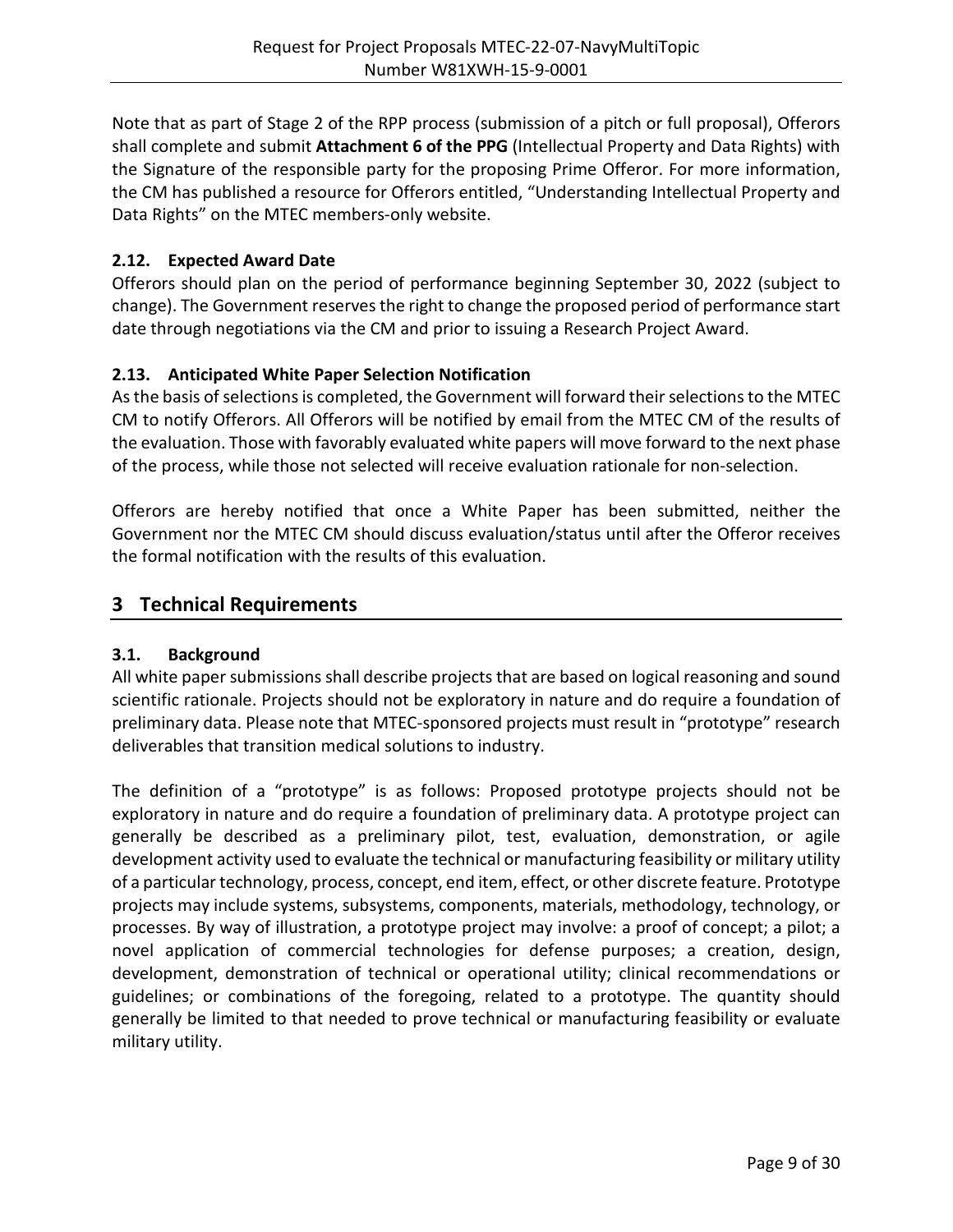Note that as part of Stage 2 of the RPP process (submission of a pitch or full proposal), Offerors shall complete and submit **Attachment 6 of the PPG** (Intellectual Property and Data Rights) with the Signature of the responsible party for the proposing Prime Offeror. For more information, the CM has published a resource for Offerors entitled, "Understanding Intellectual Property and Data Rights" on the MTEC members-only website.

## <span id="page-8-0"></span>**2.12. Expected Award Date**

Offerors should plan on the period of performance beginning September 30, 2022 (subject to change). The Government reserves the right to change the proposed period of performance start date through negotiations via the CM and prior to issuing a Research Project Award.

## <span id="page-8-1"></span>**2.13. Anticipated White Paper Selection Notification**

As the basis of selections is completed, the Government will forward their selections to the MTEC CM to notify Offerors. All Offerors will be notified by email from the MTEC CM of the results of the evaluation. Those with favorably evaluated white papers will move forward to the next phase of the process, while those not selected will receive evaluation rationale for non-selection.

Offerors are hereby notified that once a White Paper has been submitted, neither the Government nor the MTEC CM should discuss evaluation/status until after the Offeror receives the formal notification with the results of this evaluation.

# <span id="page-8-2"></span>**3 Technical Requirements**

## <span id="page-8-3"></span>**3.1. Background**

All white paper submissions shall describe projects that are based on logical reasoning and sound scientific rationale. Projects should not be exploratory in nature and do require a foundation of preliminary data. Please note that MTEC-sponsored projects must result in "prototype" research deliverables that transition medical solutions to industry.

The definition of a "prototype" is as follows: Proposed prototype projects should not be exploratory in nature and do require a foundation of preliminary data. A prototype project can generally be described as a preliminary pilot, test, evaluation, demonstration, or agile development activity used to evaluate the technical or manufacturing feasibility or military utility of a particular technology, process, concept, end item, effect, or other discrete feature. Prototype projects may include systems, subsystems, components, materials, methodology, technology, or processes. By way of illustration, a prototype project may involve: a proof of concept; a pilot; a novel application of commercial technologies for defense purposes; a creation, design, development, demonstration of technical or operational utility; clinical recommendations or guidelines; or combinations of the foregoing, related to a prototype. The quantity should generally be limited to that needed to prove technical or manufacturing feasibility or evaluate military utility.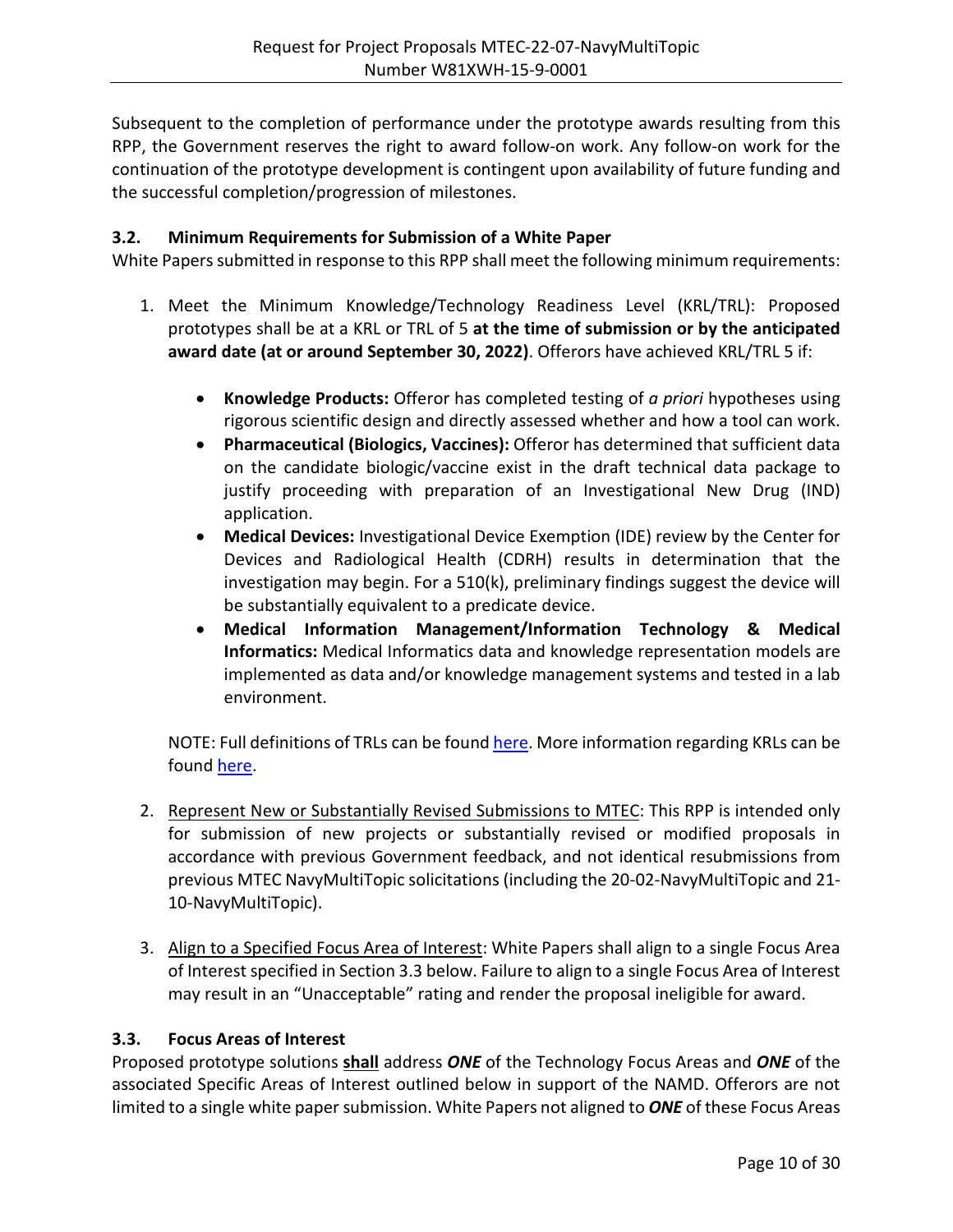Subsequent to the completion of performance under the prototype awards resulting from this RPP, the Government reserves the right to award follow-on work. Any follow-on work for the continuation of the prototype development is contingent upon availability of future funding and the successful completion/progression of milestones.

#### <span id="page-9-0"></span>**3.2. Minimum Requirements for Submission of a White Paper**

White Papers submitted in response to this RPP shall meet the following minimum requirements:

- 1. Meet the Minimum Knowledge/Technology Readiness Level (KRL/TRL): Proposed prototypes shall be at a KRL or TRL of 5 **at the time of submission or by the anticipated award date (at or around September 30, 2022)**. Offerors have achieved KRL/TRL 5 if:
	- **Knowledge Products:** Offeror has completed testing of *a priori* hypotheses using rigorous scientific design and directly assessed whether and how a tool can work.
	- **Pharmaceutical (Biologics, Vaccines):** Offeror has determined that sufficient data on the candidate biologic/vaccine exist in the draft technical data package to justify proceeding with preparation of an Investigational New Drug (IND) application.
	- **Medical Devices:** Investigational Device Exemption (IDE) review by the Center for Devices and Radiological Health (CDRH) results in determination that the investigation may begin. For a 510(k), preliminary findings suggest the device will be substantially equivalent to a predicate device.
	- **Medical Information Management/Information Technology & Medical Informatics:** Medical Informatics data and knowledge representation models are implemented as data and/or knowledge management systems and tested in a lab environment.

NOTE: Full definitions of TRLs can be found [here.](https://mtec-sc.org/wp-content/uploads/2016/12/TRL-definitions.pdf) More information regarding KRLs can be found [here.](https://www.mtec-sc.org/wp-content/uploads/2020/12/Knowledge-Readiness-Levels-KRLs-Information.pdf)

- 2. Represent New or Substantially Revised Submissions to MTEC: This RPP is intended only for submission of new projects or substantially revised or modified proposals in accordance with previous Government feedback, and not identical resubmissions from previous MTEC NavyMultiTopic solicitations (including the 20-02-NavyMultiTopic and 21- 10-NavyMultiTopic).
- 3. Align to a Specified Focus Area of Interest: White Papers shall align to a single Focus Area of Interest specified in Section 3.3 below. Failure to align to a single Focus Area of Interest may result in an "Unacceptable" rating and render the proposal ineligible for award.

#### <span id="page-9-1"></span>**3.3. Focus Areas of Interest**

Proposed prototype solutions **shall** address *ONE* of the Technology Focus Areas and *ONE* of the associated Specific Areas of Interest outlined below in support of the NAMD. Offerors are not limited to a single white paper submission. White Papers not aligned to *ONE* of these Focus Areas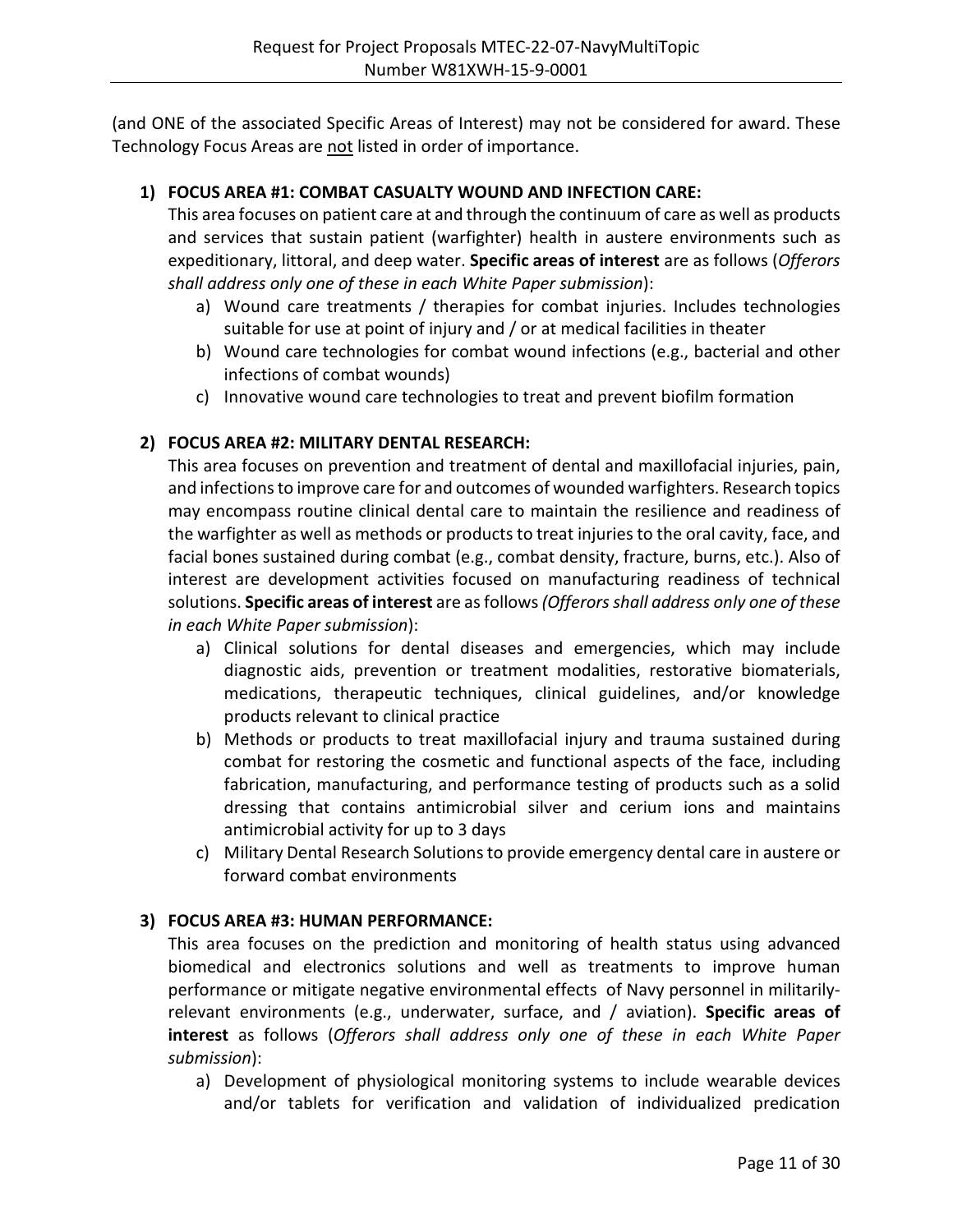(and ONE of the associated Specific Areas of Interest) may not be considered for award. These Technology Focus Areas are not listed in order of importance.

## **1) FOCUS AREA #1: COMBAT CASUALTY WOUND AND INFECTION CARE:**

This area focuses on patient care at and through the continuum of care as well as products and services that sustain patient (warfighter) health in austere environments such as expeditionary, littoral, and deep water. **Specific areas of interest** are as follows (*Offerors shall address only one of these in each White Paper submission*):

- a) Wound care treatments / therapies for combat injuries. Includes technologies suitable for use at point of injury and / or at medical facilities in theater
- b) Wound care technologies for combat wound infections (e.g., bacterial and other infections of combat wounds)
- c) Innovative wound care technologies to treat and prevent biofilm formation

## **2) FOCUS AREA #2: MILITARY DENTAL RESEARCH:**

This area focuses on prevention and treatment of dental and maxillofacial injuries, pain, and infections to improve care for and outcomes of wounded warfighters. Research topics may encompass routine clinical dental care to maintain the resilience and readiness of the warfighter as well as methods or products to treat injuries to the oral cavity, face, and facial bones sustained during combat (e.g., combat density, fracture, burns, etc.). Also of interest are development activities focused on manufacturing readiness of technical solutions. **Specific areas of interest** are as follows *(Offerors shall address only one of these in each White Paper submission*):

- a) Clinical solutions for dental diseases and emergencies, which may include diagnostic aids, prevention or treatment modalities, restorative biomaterials, medications, therapeutic techniques, clinical guidelines, and/or knowledge products relevant to clinical practice
- b) Methods or products to treat maxillofacial injury and trauma sustained during combat for restoring the cosmetic and functional aspects of the face, including fabrication, manufacturing, and performance testing of products such as a solid dressing that contains antimicrobial silver and cerium ions and maintains antimicrobial activity for up to 3 days
- c) Military Dental Research Solutions to provide emergency dental care in austere or forward combat environments

## **3) FOCUS AREA #3: HUMAN PERFORMANCE:**

This area focuses on the prediction and monitoring of health status using advanced biomedical and electronics solutions and well as treatments to improve human performance or mitigate negative environmental effects of Navy personnel in militarilyrelevant environments (e.g., underwater, surface, and / aviation). **Specific areas of interest** as follows (*Offerors shall address only one of these in each White Paper submission*):

a) Development of physiological monitoring systems to include wearable devices and/or tablets for verification and validation of individualized predication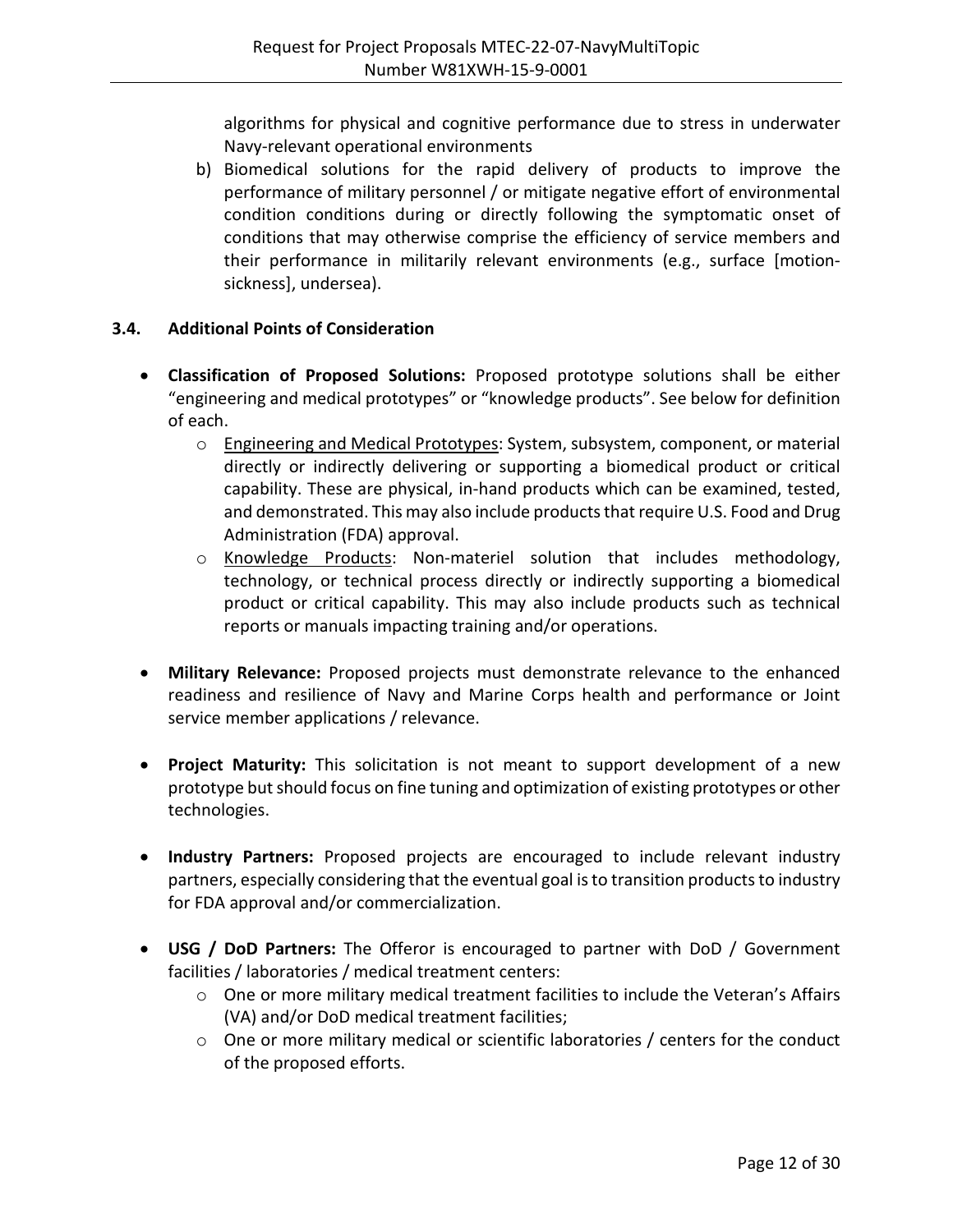algorithms for physical and cognitive performance due to stress in underwater Navy-relevant operational environments

b) Biomedical solutions for the rapid delivery of products to improve the performance of military personnel / or mitigate negative effort of environmental condition conditions during or directly following the symptomatic onset of conditions that may otherwise comprise the efficiency of service members and their performance in militarily relevant environments (e.g., surface [motionsickness], undersea).

## <span id="page-11-0"></span>**3.4. Additional Points of Consideration**

- **Classification of Proposed Solutions:** Proposed prototype solutions shall be either "engineering and medical prototypes" or "knowledge products". See below for definition of each.
	- o Engineering and Medical Prototypes: System, subsystem, component, or material directly or indirectly delivering or supporting a biomedical product or critical capability. These are physical, in-hand products which can be examined, tested, and demonstrated. This may also include products that require U.S. Food and Drug Administration (FDA) approval.
	- o Knowledge Products: Non-materiel solution that includes methodology, technology, or technical process directly or indirectly supporting a biomedical product or critical capability. This may also include products such as technical reports or manuals impacting training and/or operations.
- **Military Relevance:** Proposed projects must demonstrate relevance to the enhanced readiness and resilience of Navy and Marine Corps health and performance or Joint service member applications / relevance.
- **Project Maturity:** This solicitation is not meant to support development of a new prototype but should focus on fine tuning and optimization of existing prototypes or other technologies.
- **Industry Partners:** Proposed projects are encouraged to include relevant industry partners, especially considering that the eventual goal is to transition products to industry for FDA approval and/or commercialization.
- **USG / DoD Partners:** The Offeror is encouraged to partner with DoD / Government facilities / laboratories / medical treatment centers:
	- $\circ$  One or more military medical treatment facilities to include the Veteran's Affairs (VA) and/or DoD medical treatment facilities;
	- $\circ$  One or more military medical or scientific laboratories / centers for the conduct of the proposed efforts.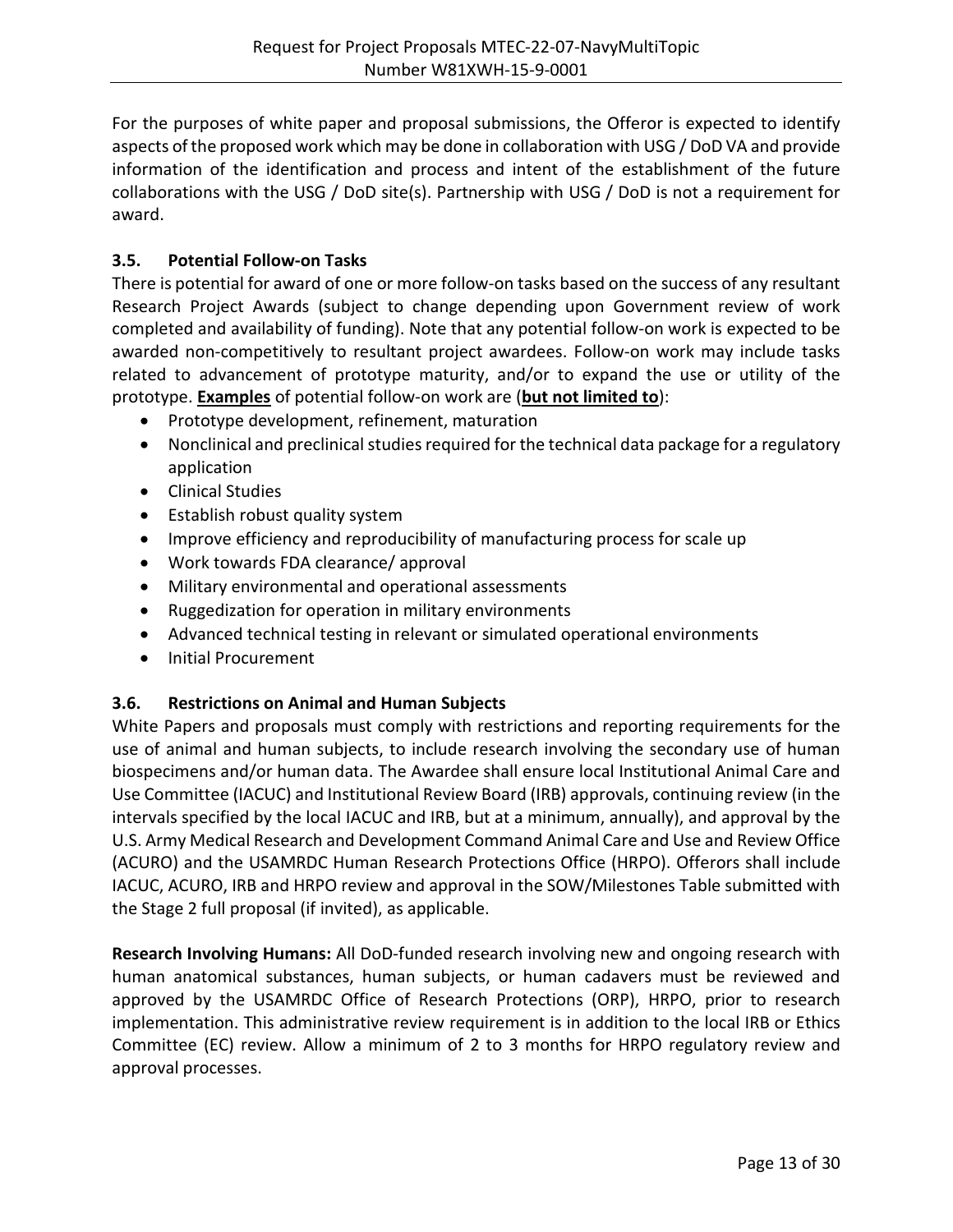For the purposes of white paper and proposal submissions, the Offeror is expected to identify aspects of the proposed work which may be done in collaboration with USG / DoD VA and provide information of the identification and process and intent of the establishment of the future collaborations with the USG / DoD site(s). Partnership with USG / DoD is not a requirement for award.

## <span id="page-12-0"></span>**3.5. Potential Follow-on Tasks**

There is potential for award of one or more follow-on tasks based on the success of any resultant Research Project Awards (subject to change depending upon Government review of work completed and availability of funding). Note that any potential follow-on work is expected to be awarded non-competitively to resultant project awardees. Follow-on work may include tasks related to advancement of prototype maturity, and/or to expand the use or utility of the prototype. **Examples** of potential follow-on work are (**but not limited to**):

- Prototype development, refinement, maturation
- Nonclinical and preclinical studies required for the technical data package for a regulatory application
- Clinical Studies
- Establish robust quality system
- Improve efficiency and reproducibility of manufacturing process for scale up
- Work towards FDA clearance/ approval
- Military environmental and operational assessments
- Ruggedization for operation in military environments
- Advanced technical testing in relevant or simulated operational environments
- Initial Procurement

## <span id="page-12-1"></span>**3.6. Restrictions on Animal and Human Subjects**

White Papers and proposals must comply with restrictions and reporting requirements for the use of animal and human subjects, to include research involving the secondary use of human biospecimens and/or human data. The Awardee shall ensure local Institutional Animal Care and Use Committee (IACUC) and Institutional Review Board (IRB) approvals, continuing review (in the intervals specified by the local IACUC and IRB, but at a minimum, annually), and approval by the U.S. Army Medical Research and Development Command Animal Care and Use and Review Office (ACURO) and the USAMRDC Human Research Protections Office (HRPO). Offerors shall include IACUC, ACURO, IRB and HRPO review and approval in the SOW/Milestones Table submitted with the Stage 2 full proposal (if invited), as applicable.

**Research Involving Humans:** All DoD-funded research involving new and ongoing research with human anatomical substances, human subjects, or human cadavers must be reviewed and approved by the USAMRDC Office of Research Protections (ORP), HRPO, prior to research implementation. This administrative review requirement is in addition to the local IRB or Ethics Committee (EC) review. Allow a minimum of 2 to 3 months for HRPO regulatory review and approval processes.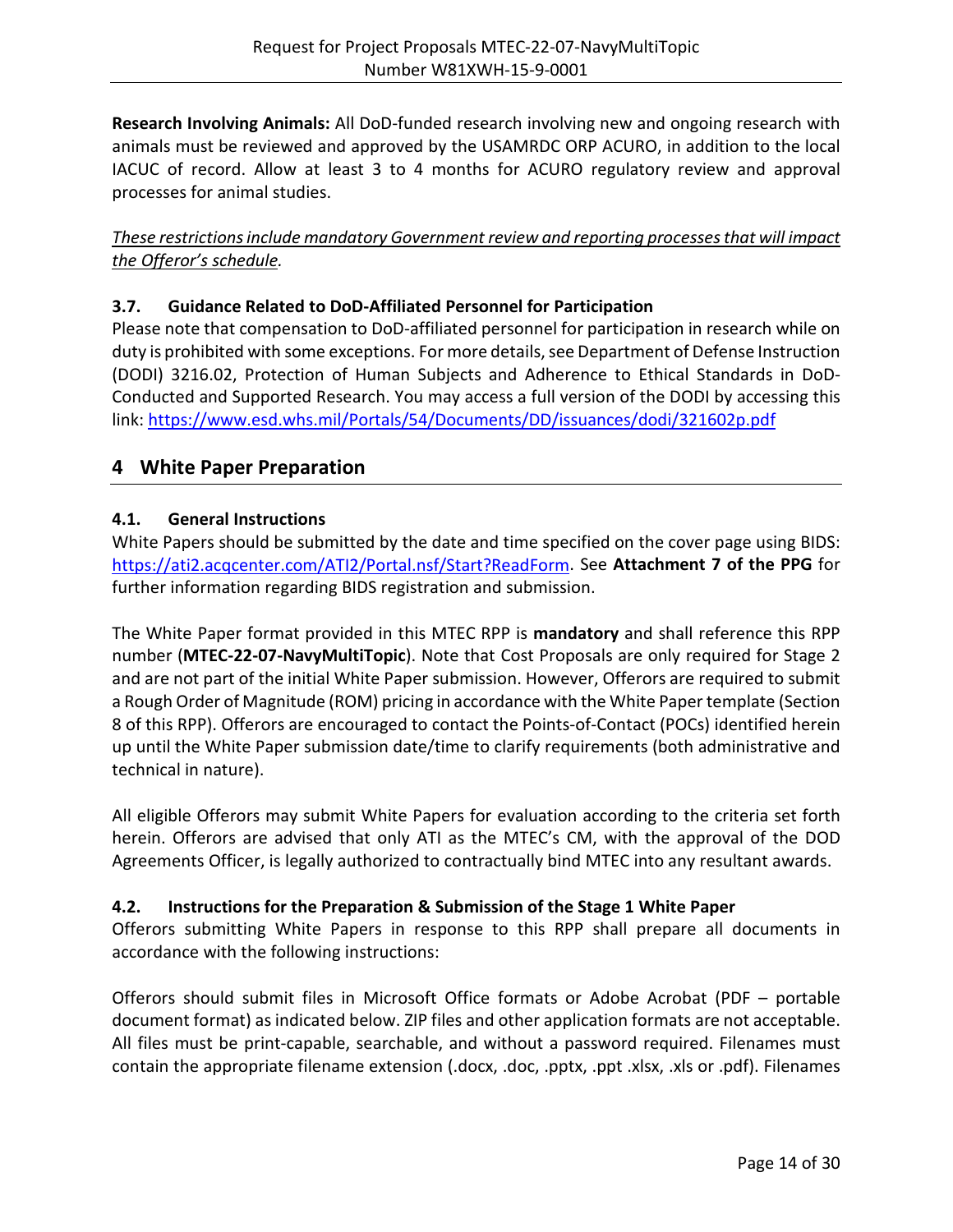**Research Involving Animals:** All DoD-funded research involving new and ongoing research with animals must be reviewed and approved by the USAMRDC ORP ACURO, in addition to the local IACUC of record. Allow at least 3 to 4 months for ACURO regulatory review and approval processes for animal studies.

*These restrictions include mandatory Government review and reporting processes that will impact the Offeror's schedule.*

## <span id="page-13-0"></span>**3.7. Guidance Related to DoD-Affiliated Personnel for Participation**

Please note that compensation to DoD-affiliated personnel for participation in research while on duty is prohibited with some exceptions. For more details, see Department of Defense Instruction (DODI) 3216.02, Protection of Human Subjects and Adherence to Ethical Standards in DoD-Conducted and Supported Research. You may access a full version of the DODI by accessing this link:<https://www.esd.whs.mil/Portals/54/Documents/DD/issuances/dodi/321602p.pdf>

## <span id="page-13-1"></span>**4 White Paper Preparation**

## <span id="page-13-2"></span>**4.1. General Instructions**

White Papers should be submitted by the date and time specified on the cover page using BIDS: [https://ati2.acqcenter.com/ATI2/Portal.nsf/Start?ReadForm.](https://ati2.acqcenter.com/ATI2/Portal.nsf/Start?ReadForm) See **Attachment 7 of the PPG** for further information regarding BIDS registration and submission.

The White Paper format provided in this MTEC RPP is **mandatory** and shall reference this RPP number (**MTEC-22-07-NavyMultiTopic**). Note that Cost Proposals are only required for Stage 2 and are not part of the initial White Paper submission. However, Offerors are required to submit a Rough Order of Magnitude (ROM) pricing in accordance with the White Paper template (Section 8 of this RPP). Offerors are encouraged to contact the Points-of-Contact (POCs) identified herein up until the White Paper submission date/time to clarify requirements (both administrative and technical in nature).

All eligible Offerors may submit White Papers for evaluation according to the criteria set forth herein. Offerors are advised that only ATI as the MTEC's CM, with the approval of the DOD Agreements Officer, is legally authorized to contractually bind MTEC into any resultant awards.

## <span id="page-13-3"></span>**4.2. Instructions for the Preparation & Submission of the Stage 1 White Paper**

Offerors submitting White Papers in response to this RPP shall prepare all documents in accordance with the following instructions:

Offerors should submit files in Microsoft Office formats or Adobe Acrobat (PDF – portable document format) as indicated below. ZIP files and other application formats are not acceptable. All files must be print-capable, searchable, and without a password required. Filenames must contain the appropriate filename extension (.docx, .doc, .pptx, .ppt .xlsx, .xls or .pdf). Filenames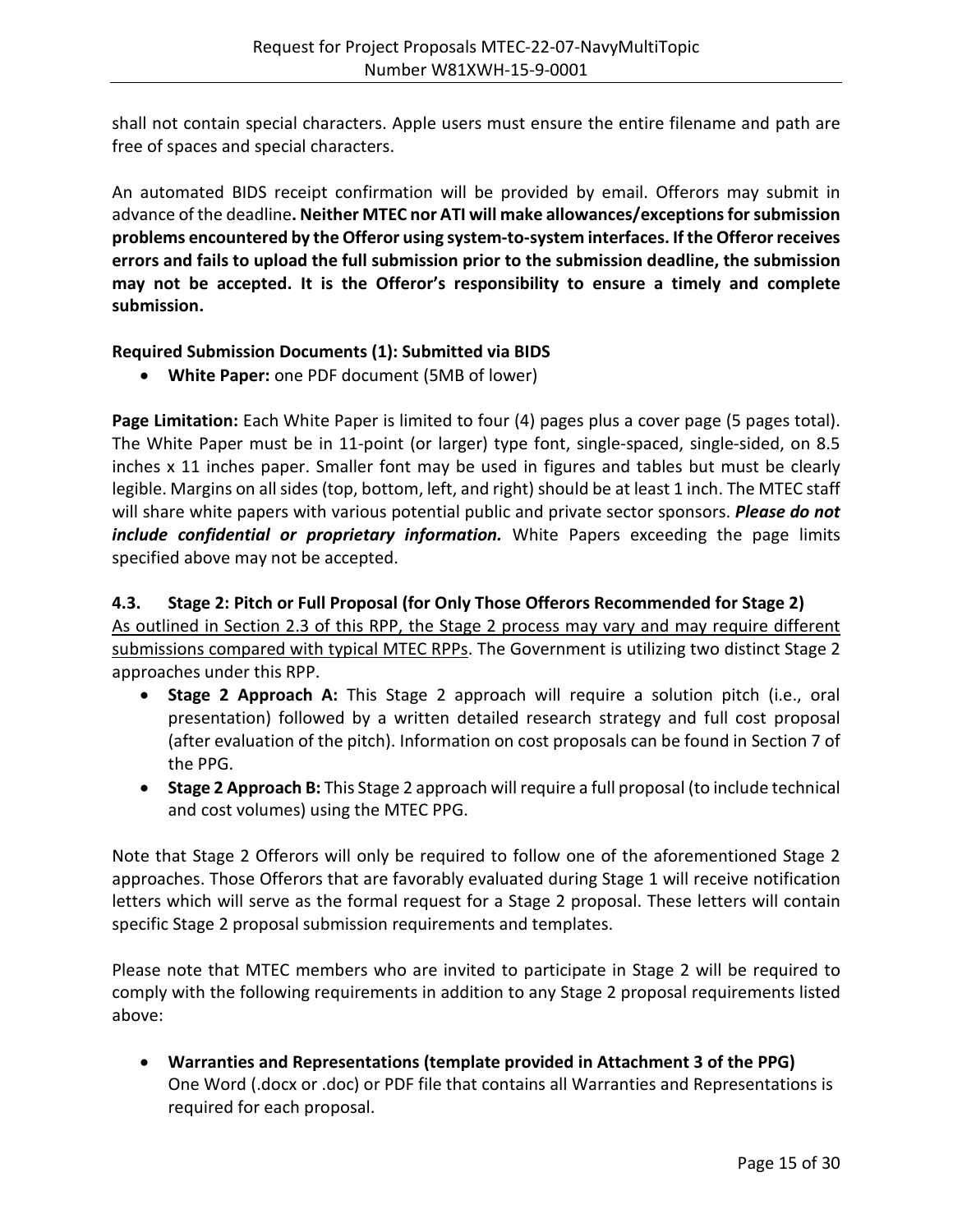shall not contain special characters. Apple users must ensure the entire filename and path are free of spaces and special characters.

An automated BIDS receipt confirmation will be provided by email. Offerors may submit in advance of the deadline**. Neither MTEC nor ATI will make allowances/exceptions for submission problems encountered by the Offeror using system-to-system interfaces. If the Offeror receives errors and fails to upload the full submission prior to the submission deadline, the submission may not be accepted. It is the Offeror's responsibility to ensure a timely and complete submission.**

## **Required Submission Documents (1): Submitted via BIDS**

• **White Paper:** one PDF document (5MB of lower)

**Page Limitation:** Each White Paper is limited to four (4) pages plus a cover page (5 pages total). The White Paper must be in 11-point (or larger) type font, single-spaced, single-sided, on 8.5 inches x 11 inches paper. Smaller font may be used in figures and tables but must be clearly legible. Margins on all sides (top, bottom, left, and right) should be at least 1 inch. The MTEC staff will share white papers with various potential public and private sector sponsors. *Please do not include confidential or proprietary information.* White Papers exceeding the page limits specified above may not be accepted.

## <span id="page-14-0"></span>**4.3. Stage 2: Pitch or Full Proposal (for Only Those Offerors Recommended for Stage 2)**

As outlined in Section 2.3 of this RPP, the Stage 2 process may vary and may require different submissions compared with typical MTEC RPPs. The Government is utilizing two distinct Stage 2 approaches under this RPP.

- **Stage 2 Approach A:** This Stage 2 approach will require a solution pitch (i.e., oral presentation) followed by a written detailed research strategy and full cost proposal (after evaluation of the pitch). Information on cost proposals can be found in Section 7 of the PPG.
- **Stage 2 Approach B:** This Stage 2 approach will require a full proposal (to include technical and cost volumes) using the MTEC PPG.

Note that Stage 2 Offerors will only be required to follow one of the aforementioned Stage 2 approaches. Those Offerors that are favorably evaluated during Stage 1 will receive notification letters which will serve as the formal request for a Stage 2 proposal. These letters will contain specific Stage 2 proposal submission requirements and templates.

Please note that MTEC members who are invited to participate in Stage 2 will be required to comply with the following requirements in addition to any Stage 2 proposal requirements listed above:

• **Warranties and Representations (template provided in Attachment 3 of the PPG)** One Word (.docx or .doc) or PDF file that contains all Warranties and Representations is required for each proposal.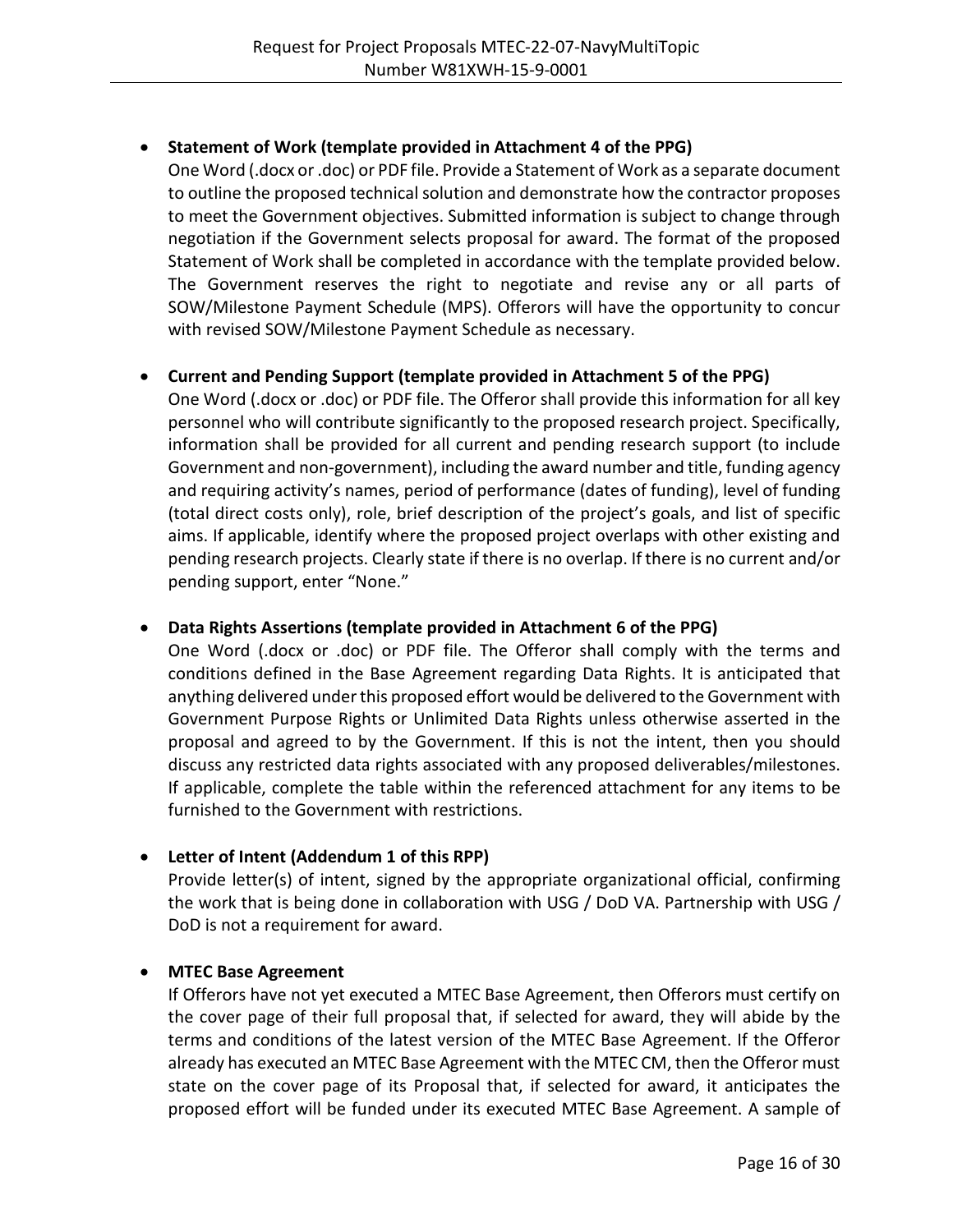## • **Statement of Work (template provided in Attachment 4 of the PPG)**

One Word (.docx or .doc) or PDF file. Provide a Statement of Work as a separate document to outline the proposed technical solution and demonstrate how the contractor proposes to meet the Government objectives. Submitted information is subject to change through negotiation if the Government selects proposal for award. The format of the proposed Statement of Work shall be completed in accordance with the template provided below. The Government reserves the right to negotiate and revise any or all parts of SOW/Milestone Payment Schedule (MPS). Offerors will have the opportunity to concur with revised SOW/Milestone Payment Schedule as necessary.

## • **Current and Pending Support (template provided in Attachment 5 of the PPG)**

One Word (.docx or .doc) or PDF file. The Offeror shall provide this information for all key personnel who will contribute significantly to the proposed research project. Specifically, information shall be provided for all current and pending research support (to include Government and non-government), including the award number and title, funding agency and requiring activity's names, period of performance (dates of funding), level of funding (total direct costs only), role, brief description of the project's goals, and list of specific aims. If applicable, identify where the proposed project overlaps with other existing and pending research projects. Clearly state if there is no overlap. If there is no current and/or pending support, enter "None."

## • **Data Rights Assertions (template provided in Attachment 6 of the PPG)**

One Word (.docx or .doc) or PDF file. The Offeror shall comply with the terms and conditions defined in the Base Agreement regarding Data Rights. It is anticipated that anything delivered under this proposed effort would be delivered to the Government with Government Purpose Rights or Unlimited Data Rights unless otherwise asserted in the proposal and agreed to by the Government. If this is not the intent, then you should discuss any restricted data rights associated with any proposed deliverables/milestones. If applicable, complete the table within the referenced attachment for any items to be furnished to the Government with restrictions.

## • **Letter of Intent (Addendum 1 of this RPP)**

Provide letter(s) of intent, signed by the appropriate organizational official, confirming the work that is being done in collaboration with USG / DoD VA. Partnership with USG / DoD is not a requirement for award.

## • **MTEC Base Agreement**

If Offerors have not yet executed a MTEC Base Agreement, then Offerors must certify on the cover page of their full proposal that, if selected for award, they will abide by the terms and conditions of the latest version of the MTEC Base Agreement. If the Offeror already has executed an MTEC Base Agreement with the MTEC CM, then the Offeror must state on the cover page of its Proposal that, if selected for award, it anticipates the proposed effort will be funded under its executed MTEC Base Agreement. A sample of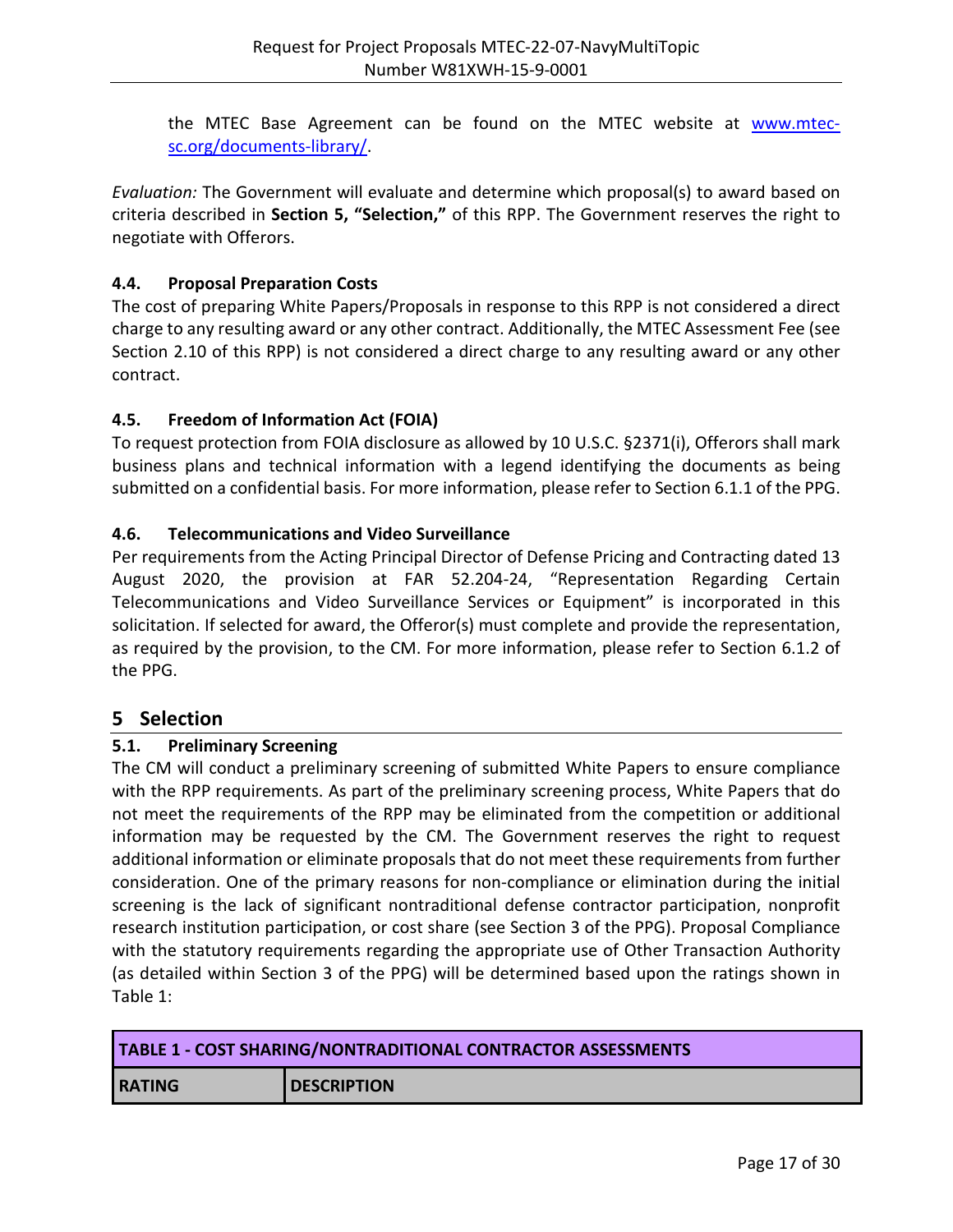the MTEC Base Agreement can be found on the MTEC website at [www.mtec](http://www.mtec-sc.org/documents-library/)[sc.org/documents-library/.](http://www.mtec-sc.org/documents-library/)

*Evaluation:* The Government will evaluate and determine which proposal(s) to award based on criteria described in **Section 5, "Selection,"** of this RPP. The Government reserves the right to negotiate with Offerors.

## <span id="page-16-0"></span>**4.4. Proposal Preparation Costs**

The cost of preparing White Papers/Proposals in response to this RPP is not considered a direct charge to any resulting award or any other contract. Additionally, the MTEC Assessment Fee (see Section 2.10 of this RPP) is not considered a direct charge to any resulting award or any other contract.

## <span id="page-16-1"></span>**4.5. Freedom of Information Act (FOIA)**

To request protection from FOIA disclosure as allowed by 10 U.S.C. §2371(i), Offerors shall mark business plans and technical information with a legend identifying the documents as being submitted on a confidential basis. For more information, please refer to Section 6.1.1 of the PPG.

## <span id="page-16-2"></span>**4.6. Telecommunications and Video Surveillance**

Per requirements from the Acting Principal Director of Defense Pricing and Contracting dated 13 August 2020, the provision at FAR 52.204-24, "Representation Regarding Certain Telecommunications and Video Surveillance Services or Equipment" is incorporated in this solicitation. If selected for award, the Offeror(s) must complete and provide the representation, as required by the provision, to the CM. For more information, please refer to Section 6.1.2 of the PPG.

## <span id="page-16-3"></span>**5 Selection**

## <span id="page-16-4"></span>**5.1. Preliminary Screening**

The CM will conduct a preliminary screening of submitted White Papers to ensure compliance with the RPP requirements. As part of the preliminary screening process, White Papers that do not meet the requirements of the RPP may be eliminated from the competition or additional information may be requested by the CM. The Government reserves the right to request additional information or eliminate proposals that do not meet these requirements from further consideration. One of the primary reasons for non-compliance or elimination during the initial screening is the lack of significant nontraditional defense contractor participation, nonprofit research institution participation, or cost share (see Section 3 of the PPG). Proposal Compliance with the statutory requirements regarding the appropriate use of Other Transaction Authority (as detailed within Section 3 of the PPG) will be determined based upon the ratings shown in Table 1:

| <b>TABLE 1 - COST SHARING/NONTRADITIONAL CONTRACTOR ASSESSMENTS</b> |                    |  |  |
|---------------------------------------------------------------------|--------------------|--|--|
| <b>RATING</b>                                                       | <b>DESCRIPTION</b> |  |  |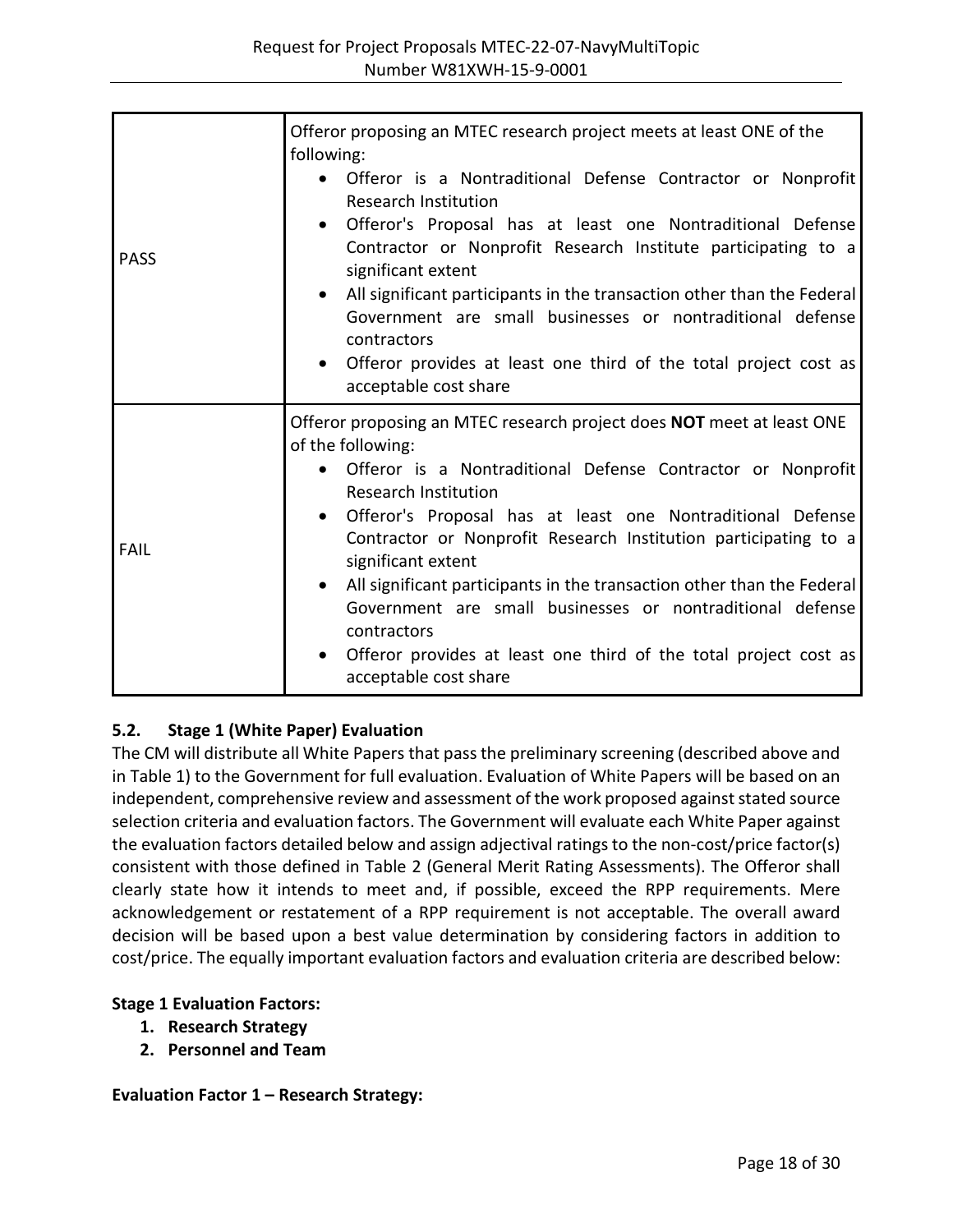| <b>PASS</b> | Offeror proposing an MTEC research project meets at least ONE of the<br>following:<br>Offeror is a Nontraditional Defense Contractor or Nonprofit<br><b>Research Institution</b><br>Offeror's Proposal has at least one Nontraditional Defense<br>$\bullet$<br>Contractor or Nonprofit Research Institute participating to a<br>significant extent<br>All significant participants in the transaction other than the Federal<br>$\bullet$<br>Government are small businesses or nontraditional defense<br>contractors<br>• Offeror provides at least one third of the total project cost as<br>acceptable cost share                      |
|-------------|-------------------------------------------------------------------------------------------------------------------------------------------------------------------------------------------------------------------------------------------------------------------------------------------------------------------------------------------------------------------------------------------------------------------------------------------------------------------------------------------------------------------------------------------------------------------------------------------------------------------------------------------|
| <b>FAIL</b> | Offeror proposing an MTEC research project does NOT meet at least ONE<br>of the following:<br>Offeror is a Nontraditional Defense Contractor or Nonprofit<br><b>Research Institution</b><br>Offeror's Proposal has at least one Nontraditional Defense<br>$\bullet$<br>Contractor or Nonprofit Research Institution participating to a<br>significant extent<br>All significant participants in the transaction other than the Federal<br>$\bullet$<br>Government are small businesses or nontraditional defense<br>contractors<br>Offeror provides at least one third of the total project cost as<br>$\bullet$<br>acceptable cost share |

## <span id="page-17-0"></span>**5.2. Stage 1 (White Paper) Evaluation**

The CM will distribute all White Papers that pass the preliminary screening (described above and in Table 1) to the Government for full evaluation. Evaluation of White Papers will be based on an independent, comprehensive review and assessment of the work proposed against stated source selection criteria and evaluation factors. The Government will evaluate each White Paper against the evaluation factors detailed below and assign adjectival ratings to the non-cost/price factor(s) consistent with those defined in Table 2 (General Merit Rating Assessments). The Offeror shall clearly state how it intends to meet and, if possible, exceed the RPP requirements. Mere acknowledgement or restatement of a RPP requirement is not acceptable. The overall award decision will be based upon a best value determination by considering factors in addition to cost/price. The equally important evaluation factors and evaluation criteria are described below:

#### **Stage 1 Evaluation Factors:**

- **1. Research Strategy**
- **2. Personnel and Team**

**Evaluation Factor 1 – Research Strategy:**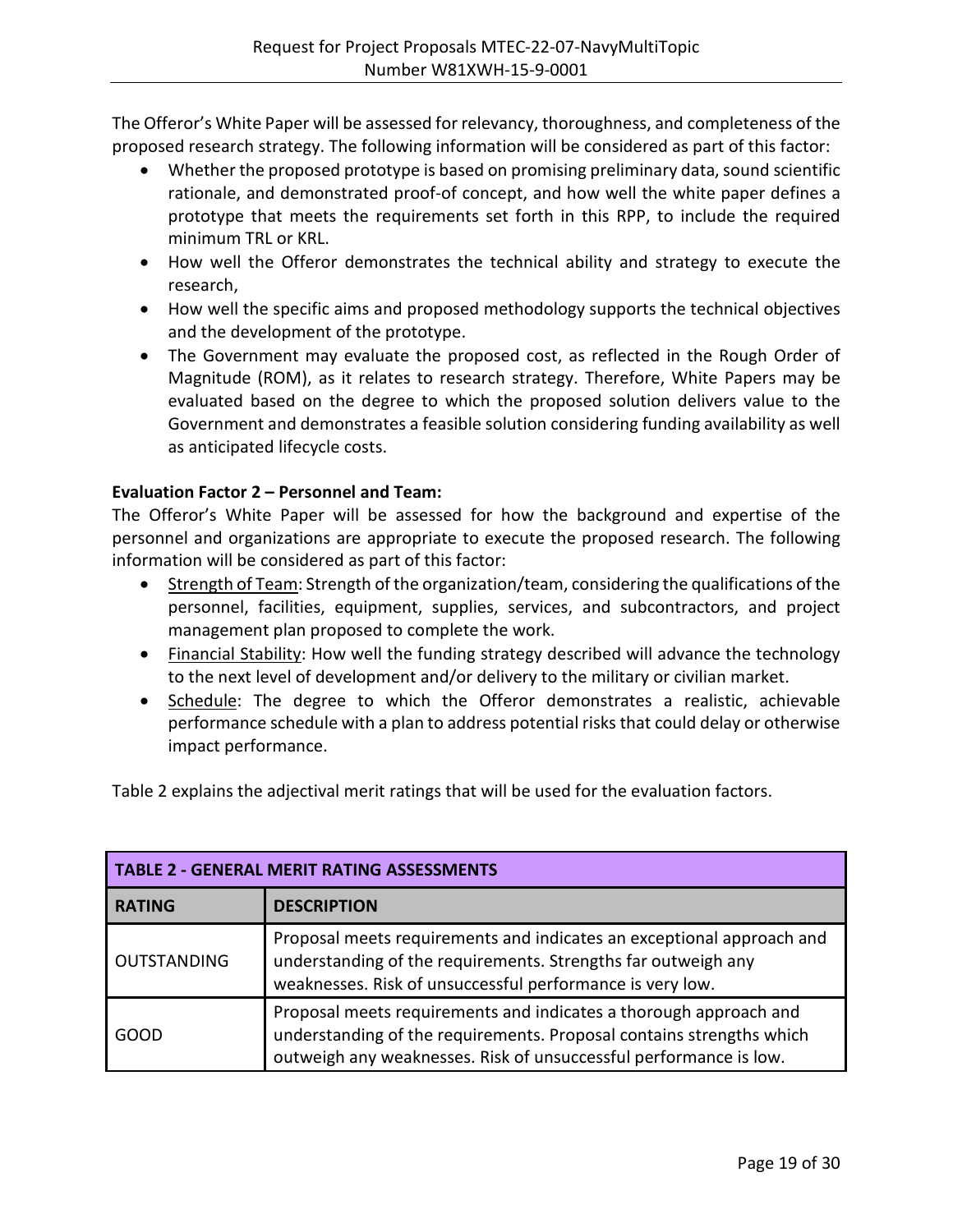The Offeror's White Paper will be assessed for relevancy, thoroughness, and completeness of the proposed research strategy. The following information will be considered as part of this factor:

- Whether the proposed prototype is based on promising preliminary data, sound scientific rationale, and demonstrated proof-of concept, and how well the white paper defines a prototype that meets the requirements set forth in this RPP, to include the required minimum TRL or KRL.
- How well the Offeror demonstrates the technical ability and strategy to execute the research,
- How well the specific aims and proposed methodology supports the technical objectives and the development of the prototype.
- The Government may evaluate the proposed cost, as reflected in the Rough Order of Magnitude (ROM), as it relates to research strategy. Therefore, White Papers may be evaluated based on the degree to which the proposed solution delivers value to the Government and demonstrates a feasible solution considering funding availability as well as anticipated lifecycle costs.

## **Evaluation Factor 2 – Personnel and Team:**

The Offeror's White Paper will be assessed for how the background and expertise of the personnel and organizations are appropriate to execute the proposed research. The following information will be considered as part of this factor:

- Strength of Team: Strength of the organization/team, considering the qualifications of the personnel, facilities, equipment, supplies, services, and subcontractors, and project management plan proposed to complete the work.
- Financial Stability: How well the funding strategy described will advance the technology to the next level of development and/or delivery to the military or civilian market.
- Schedule: The degree to which the Offeror demonstrates a realistic, achievable performance schedule with a plan to address potential risks that could delay or otherwise impact performance.

Table 2 explains the adjectival merit ratings that will be used for the evaluation factors.

| <b>TABLE 2 - GENERAL MERIT RATING ASSESSMENTS</b> |                                                                                                                                                                                                                |  |  |
|---------------------------------------------------|----------------------------------------------------------------------------------------------------------------------------------------------------------------------------------------------------------------|--|--|
| <b>RATING</b>                                     | <b>DESCRIPTION</b>                                                                                                                                                                                             |  |  |
| OUTSTANDING                                       | Proposal meets requirements and indicates an exceptional approach and<br>understanding of the requirements. Strengths far outweigh any<br>weaknesses. Risk of unsuccessful performance is very low.            |  |  |
| GOOD                                              | Proposal meets requirements and indicates a thorough approach and<br>understanding of the requirements. Proposal contains strengths which<br>outweigh any weaknesses. Risk of unsuccessful performance is low. |  |  |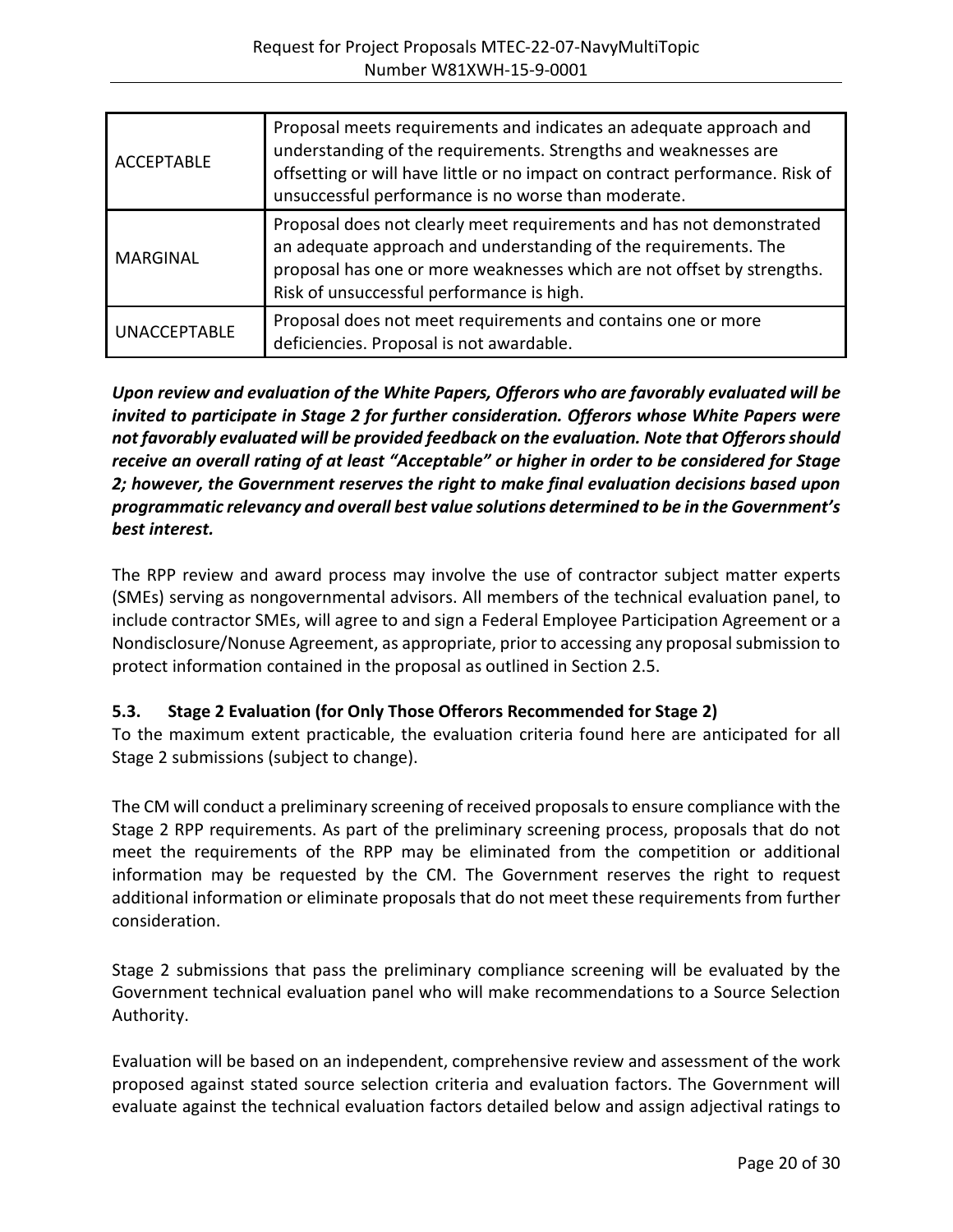| <b>ACCEPTABLE</b>   | Proposal meets requirements and indicates an adequate approach and<br>understanding of the requirements. Strengths and weaknesses are<br>offsetting or will have little or no impact on contract performance. Risk of<br>unsuccessful performance is no worse than moderate. |
|---------------------|------------------------------------------------------------------------------------------------------------------------------------------------------------------------------------------------------------------------------------------------------------------------------|
| <b>MARGINAL</b>     | Proposal does not clearly meet requirements and has not demonstrated<br>an adequate approach and understanding of the requirements. The<br>proposal has one or more weaknesses which are not offset by strengths.<br>Risk of unsuccessful performance is high.               |
| <b>UNACCEPTABLE</b> | Proposal does not meet requirements and contains one or more<br>deficiencies. Proposal is not awardable.                                                                                                                                                                     |

*Upon review and evaluation of the White Papers, Offerors who are favorably evaluated will be invited to participate in Stage 2 for further consideration. Offerors whose White Papers were not favorably evaluated will be provided feedback on the evaluation. Note that Offerors should receive an overall rating of at least "Acceptable" or higher in order to be considered for Stage 2; however, the Government reserves the right to make final evaluation decisions based upon programmatic relevancy and overall best value solutions determined to be in the Government's best interest.*

The RPP review and award process may involve the use of contractor subject matter experts (SMEs) serving as nongovernmental advisors. All members of the technical evaluation panel, to include contractor SMEs, will agree to and sign a Federal Employee Participation Agreement or a Nondisclosure/Nonuse Agreement, as appropriate, prior to accessing any proposal submission to protect information contained in the proposal as outlined in Section 2.5.

## <span id="page-19-0"></span>**5.3. Stage 2 Evaluation (for Only Those Offerors Recommended for Stage 2)**

To the maximum extent practicable, the evaluation criteria found here are anticipated for all Stage 2 submissions (subject to change).

The CM will conduct a preliminary screening of received proposals to ensure compliance with the Stage 2 RPP requirements. As part of the preliminary screening process, proposals that do not meet the requirements of the RPP may be eliminated from the competition or additional information may be requested by the CM. The Government reserves the right to request additional information or eliminate proposals that do not meet these requirements from further consideration.

Stage 2 submissions that pass the preliminary compliance screening will be evaluated by the Government technical evaluation panel who will make recommendations to a Source Selection Authority.

Evaluation will be based on an independent, comprehensive review and assessment of the work proposed against stated source selection criteria and evaluation factors. The Government will evaluate against the technical evaluation factors detailed below and assign adjectival ratings to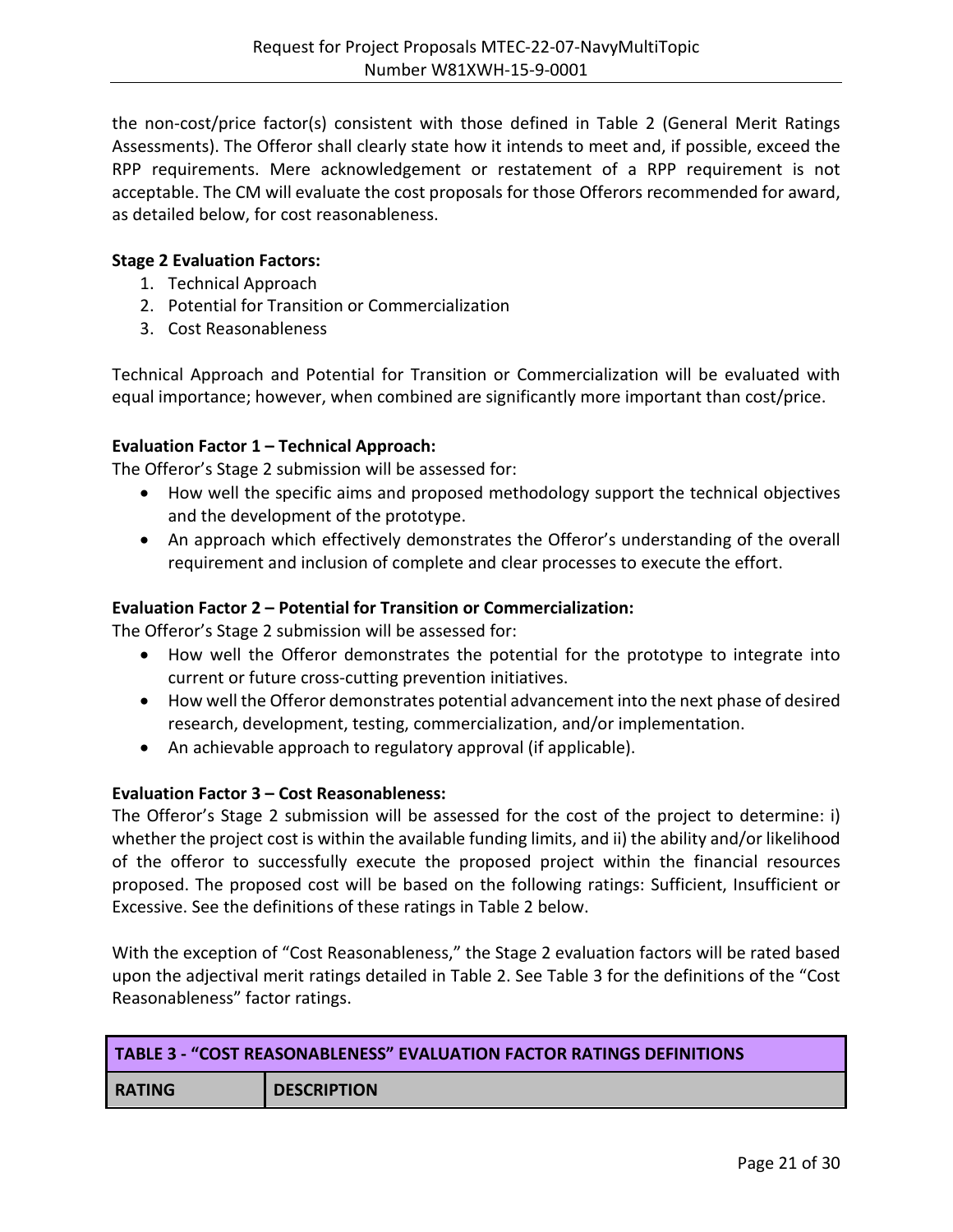the non-cost/price factor(s) consistent with those defined in Table 2 (General Merit Ratings Assessments). The Offeror shall clearly state how it intends to meet and, if possible, exceed the RPP requirements. Mere acknowledgement or restatement of a RPP requirement is not acceptable. The CM will evaluate the cost proposals for those Offerors recommended for award, as detailed below, for cost reasonableness.

#### **Stage 2 Evaluation Factors:**

- 1. Technical Approach
- 2. Potential for Transition or Commercialization
- 3. Cost Reasonableness

Technical Approach and Potential for Transition or Commercialization will be evaluated with equal importance; however, when combined are significantly more important than cost/price.

#### **Evaluation Factor 1 – Technical Approach:**

The Offeror's Stage 2 submission will be assessed for:

- How well the specific aims and proposed methodology support the technical objectives and the development of the prototype.
- An approach which effectively demonstrates the Offeror's understanding of the overall requirement and inclusion of complete and clear processes to execute the effort.

#### **Evaluation Factor 2 – Potential for Transition or Commercialization:**

The Offeror's Stage 2 submission will be assessed for:

- How well the Offeror demonstrates the potential for the prototype to integrate into current or future cross-cutting prevention initiatives.
- How well the Offeror demonstrates potential advancement into the next phase of desired research, development, testing, commercialization, and/or implementation.
- An achievable approach to regulatory approval (if applicable).

#### **Evaluation Factor 3 – Cost Reasonableness:**

The Offeror's Stage 2 submission will be assessed for the cost of the project to determine: i) whether the project cost is within the available funding limits, and ii) the ability and/or likelihood of the offeror to successfully execute the proposed project within the financial resources proposed. The proposed cost will be based on the following ratings: Sufficient, Insufficient or Excessive. See the definitions of these ratings in Table 2 below.

With the exception of "Cost Reasonableness," the Stage 2 evaluation factors will be rated based upon the adjectival merit ratings detailed in Table 2. See Table 3 for the definitions of the "Cost Reasonableness" factor ratings.

| <b>TABLE 3 - "COST REASONABLENESS" EVALUATION FACTOR RATINGS DEFINITIONS</b> |                    |  |  |
|------------------------------------------------------------------------------|--------------------|--|--|
| <b>RATING</b>                                                                | <b>DESCRIPTION</b> |  |  |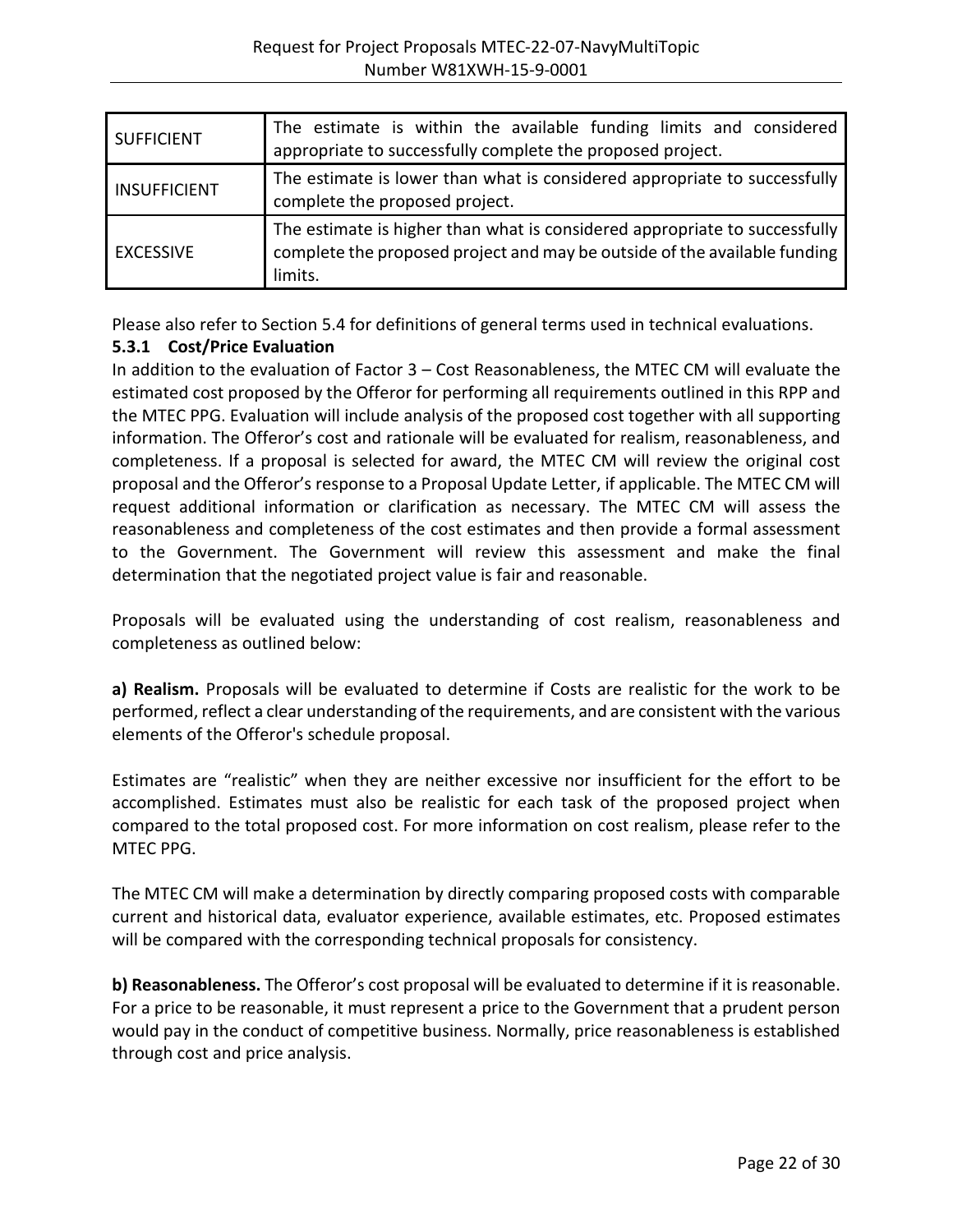| <b>SUFFICIENT</b>   | The estimate is within the available funding limits and considered<br>appropriate to successfully complete the proposed project.                                   |  |  |  |  |
|---------------------|--------------------------------------------------------------------------------------------------------------------------------------------------------------------|--|--|--|--|
| <b>INSUFFICIENT</b> | The estimate is lower than what is considered appropriate to successfully<br>complete the proposed project.                                                        |  |  |  |  |
| <b>EXCESSIVE</b>    | The estimate is higher than what is considered appropriate to successfully<br>complete the proposed project and may be outside of the available funding<br>limits. |  |  |  |  |

Please also refer to Section 5.4 for definitions of general terms used in technical evaluations.

#### **5.3.1 Cost/Price Evaluation**

In addition to the evaluation of Factor 3 – Cost Reasonableness, the MTEC CM will evaluate the estimated cost proposed by the Offeror for performing all requirements outlined in this RPP and the MTEC PPG. Evaluation will include analysis of the proposed cost together with all supporting information. The Offeror's cost and rationale will be evaluated for realism, reasonableness, and completeness. If a proposal is selected for award, the MTEC CM will review the original cost proposal and the Offeror's response to a Proposal Update Letter, if applicable. The MTEC CM will request additional information or clarification as necessary. The MTEC CM will assess the reasonableness and completeness of the cost estimates and then provide a formal assessment to the Government. The Government will review this assessment and make the final determination that the negotiated project value is fair and reasonable.

Proposals will be evaluated using the understanding of cost realism, reasonableness and completeness as outlined below:

**a) Realism.** Proposals will be evaluated to determine if Costs are realistic for the work to be performed, reflect a clear understanding of the requirements, and are consistent with the various elements of the Offeror's schedule proposal.

Estimates are "realistic" when they are neither excessive nor insufficient for the effort to be accomplished. Estimates must also be realistic for each task of the proposed project when compared to the total proposed cost. For more information on cost realism, please refer to the MTEC PPG.

The MTEC CM will make a determination by directly comparing proposed costs with comparable current and historical data, evaluator experience, available estimates, etc. Proposed estimates will be compared with the corresponding technical proposals for consistency.

**b) Reasonableness.** The Offeror's cost proposal will be evaluated to determine if it is reasonable. For a price to be reasonable, it must represent a price to the Government that a prudent person would pay in the conduct of competitive business. Normally, price reasonableness is established through cost and price analysis.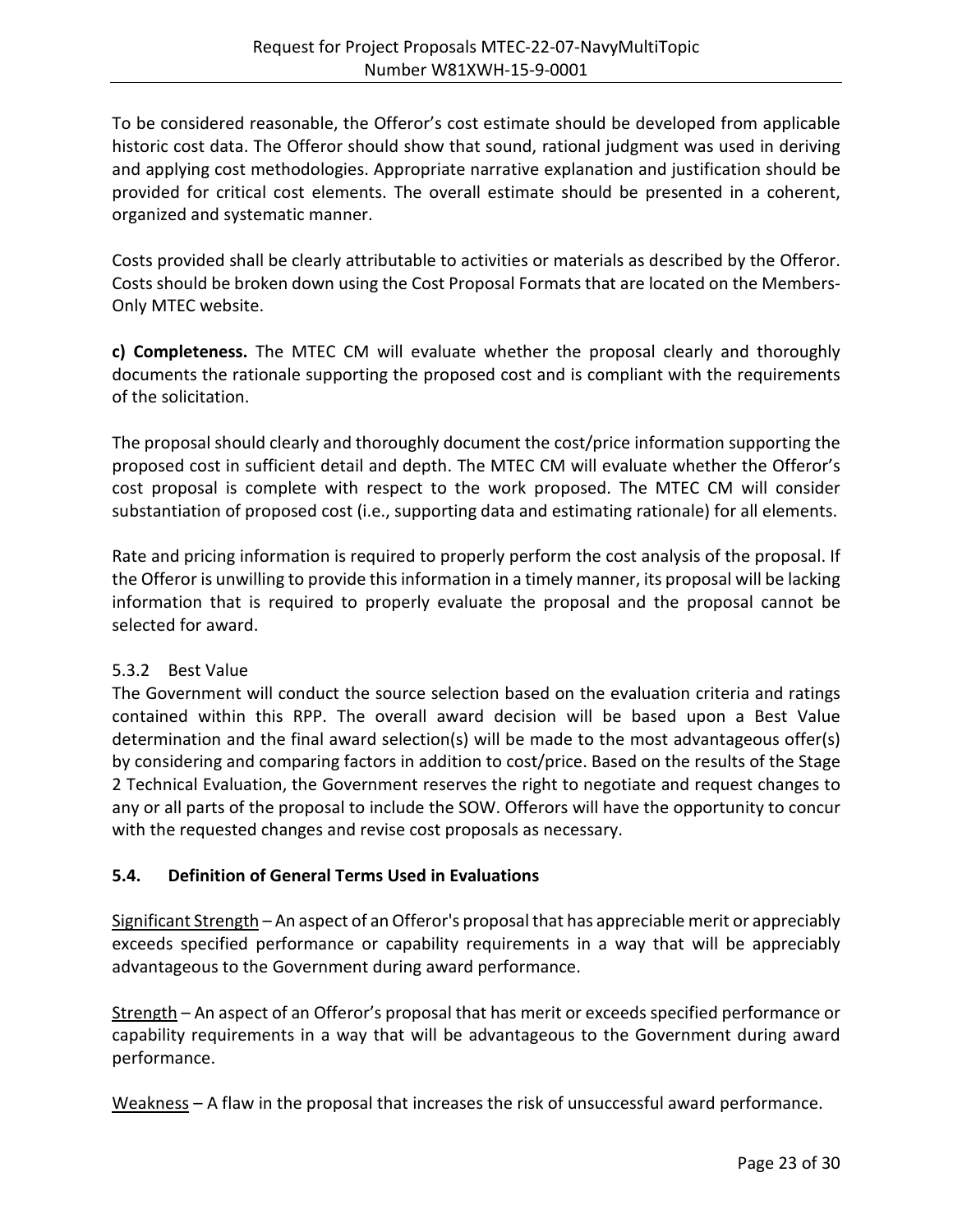To be considered reasonable, the Offeror's cost estimate should be developed from applicable historic cost data. The Offeror should show that sound, rational judgment was used in deriving and applying cost methodologies. Appropriate narrative explanation and justification should be provided for critical cost elements. The overall estimate should be presented in a coherent, organized and systematic manner.

Costs provided shall be clearly attributable to activities or materials as described by the Offeror. Costs should be broken down using the Cost Proposal Formats that are located on the Members-Only MTEC website.

**c) Completeness.** The MTEC CM will evaluate whether the proposal clearly and thoroughly documents the rationale supporting the proposed cost and is compliant with the requirements of the solicitation.

The proposal should clearly and thoroughly document the cost/price information supporting the proposed cost in sufficient detail and depth. The MTEC CM will evaluate whether the Offeror's cost proposal is complete with respect to the work proposed. The MTEC CM will consider substantiation of proposed cost (i.e., supporting data and estimating rationale) for all elements.

Rate and pricing information is required to properly perform the cost analysis of the proposal. If the Offeror is unwilling to provide this information in a timely manner, its proposal will be lacking information that is required to properly evaluate the proposal and the proposal cannot be selected for award.

## 5.3.2 Best Value

The Government will conduct the source selection based on the evaluation criteria and ratings contained within this RPP. The overall award decision will be based upon a Best Value determination and the final award selection(s) will be made to the most advantageous offer(s) by considering and comparing factors in addition to cost/price. Based on the results of the Stage 2 Technical Evaluation, the Government reserves the right to negotiate and request changes to any or all parts of the proposal to include the SOW. Offerors will have the opportunity to concur with the requested changes and revise cost proposals as necessary.

## <span id="page-22-0"></span>**5.4. Definition of General Terms Used in Evaluations**

Significant Strength – An aspect of an Offeror's proposal that has appreciable merit or appreciably exceeds specified performance or capability requirements in a way that will be appreciably advantageous to the Government during award performance.

Strength – An aspect of an Offeror's proposal that has merit or exceeds specified performance or capability requirements in a way that will be advantageous to the Government during award performance.

Weakness – A flaw in the proposal that increases the risk of unsuccessful award performance.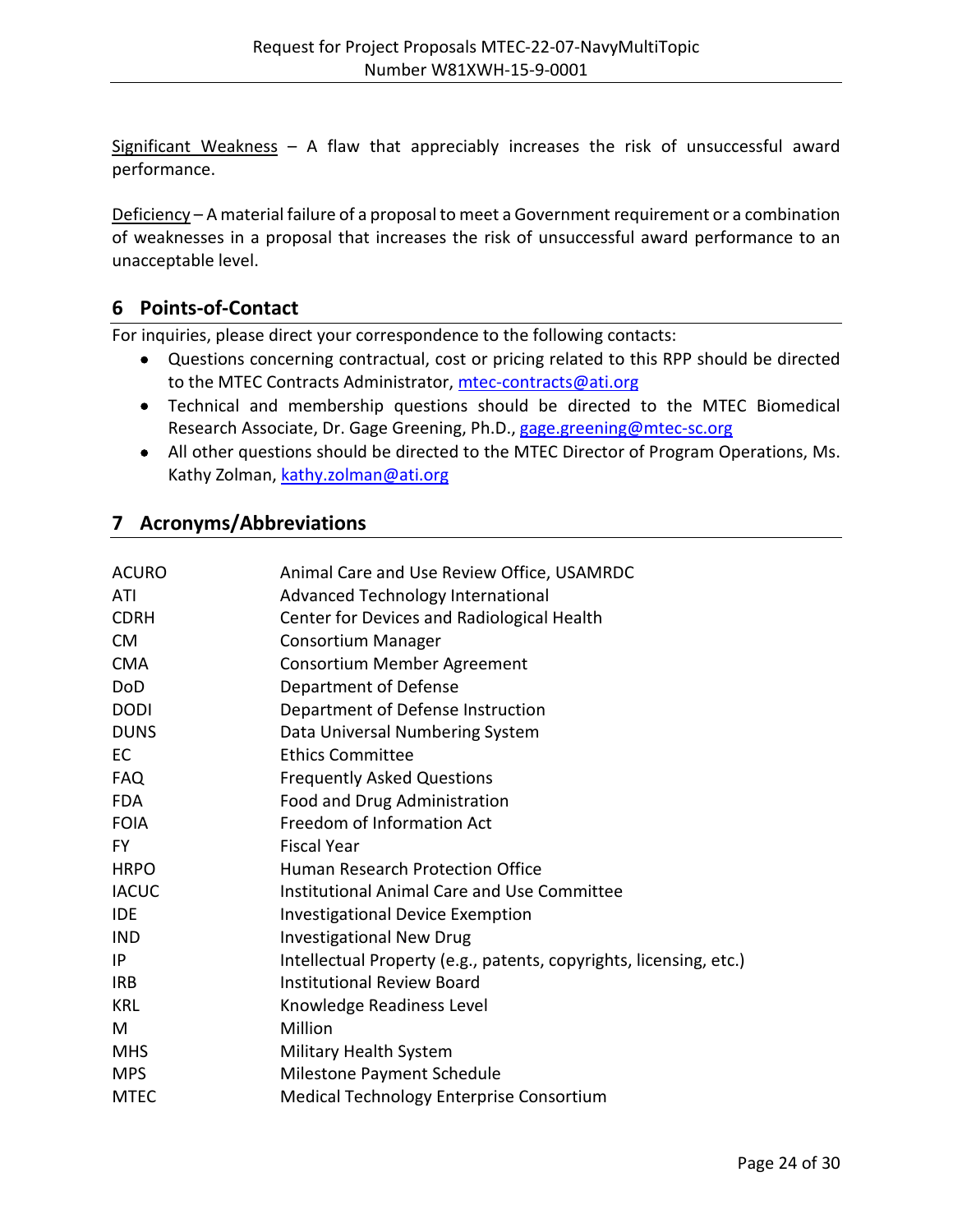Significant Weakness  $-$  A flaw that appreciably increases the risk of unsuccessful award performance.

Deficiency – A material failure of a proposal to meet a Government requirement or a combination of weaknesses in a proposal that increases the risk of unsuccessful award performance to an unacceptable level.

# <span id="page-23-0"></span>**6 Points-of-Contact**

For inquiries, please direct your correspondence to the following contacts:

- Questions concerning contractual, cost or pricing related to this RPP should be directed to the MTEC Contracts Administrator, [mtec-contracts@ati.org](mailto:lisa.fisher@ati.org)
- Technical and membership questions should be directed to the MTEC Biomedical Research Associate, Dr. Gage Greening, Ph.D., [gage.greening@mtec-sc.org](mailto:gage.greening@mtec-sc.org)
- All other questions should be directed to the MTEC Director of Program Operations, Ms. Kathy Zolman, [kathy.zolman@ati.org](mailto:kathy.zolman@ati.org)

# <span id="page-23-1"></span>**7 Acronyms/Abbreviations**

| <b>ACURO</b> | Animal Care and Use Review Office, USAMRDC                         |
|--------------|--------------------------------------------------------------------|
| ATI          | Advanced Technology International                                  |
| <b>CDRH</b>  | Center for Devices and Radiological Health                         |
| <b>CM</b>    | <b>Consortium Manager</b>                                          |
| <b>CMA</b>   | Consortium Member Agreement                                        |
| DoD          | Department of Defense                                              |
| <b>DODI</b>  | Department of Defense Instruction                                  |
| <b>DUNS</b>  | Data Universal Numbering System                                    |
| <b>EC</b>    | <b>Ethics Committee</b>                                            |
| <b>FAQ</b>   | <b>Frequently Asked Questions</b>                                  |
| <b>FDA</b>   | Food and Drug Administration                                       |
| <b>FOIA</b>  | Freedom of Information Act                                         |
| FY.          | <b>Fiscal Year</b>                                                 |
| <b>HRPO</b>  | Human Research Protection Office                                   |
| <b>IACUC</b> | Institutional Animal Care and Use Committee                        |
| <b>IDE</b>   | <b>Investigational Device Exemption</b>                            |
| <b>IND</b>   | <b>Investigational New Drug</b>                                    |
| IP           | Intellectual Property (e.g., patents, copyrights, licensing, etc.) |
| <b>IRB</b>   | <b>Institutional Review Board</b>                                  |
| <b>KRL</b>   | Knowledge Readiness Level                                          |
| M            | Million                                                            |
| <b>MHS</b>   | Military Health System                                             |
| <b>MPS</b>   | Milestone Payment Schedule                                         |
| <b>MTEC</b>  | Medical Technology Enterprise Consortium                           |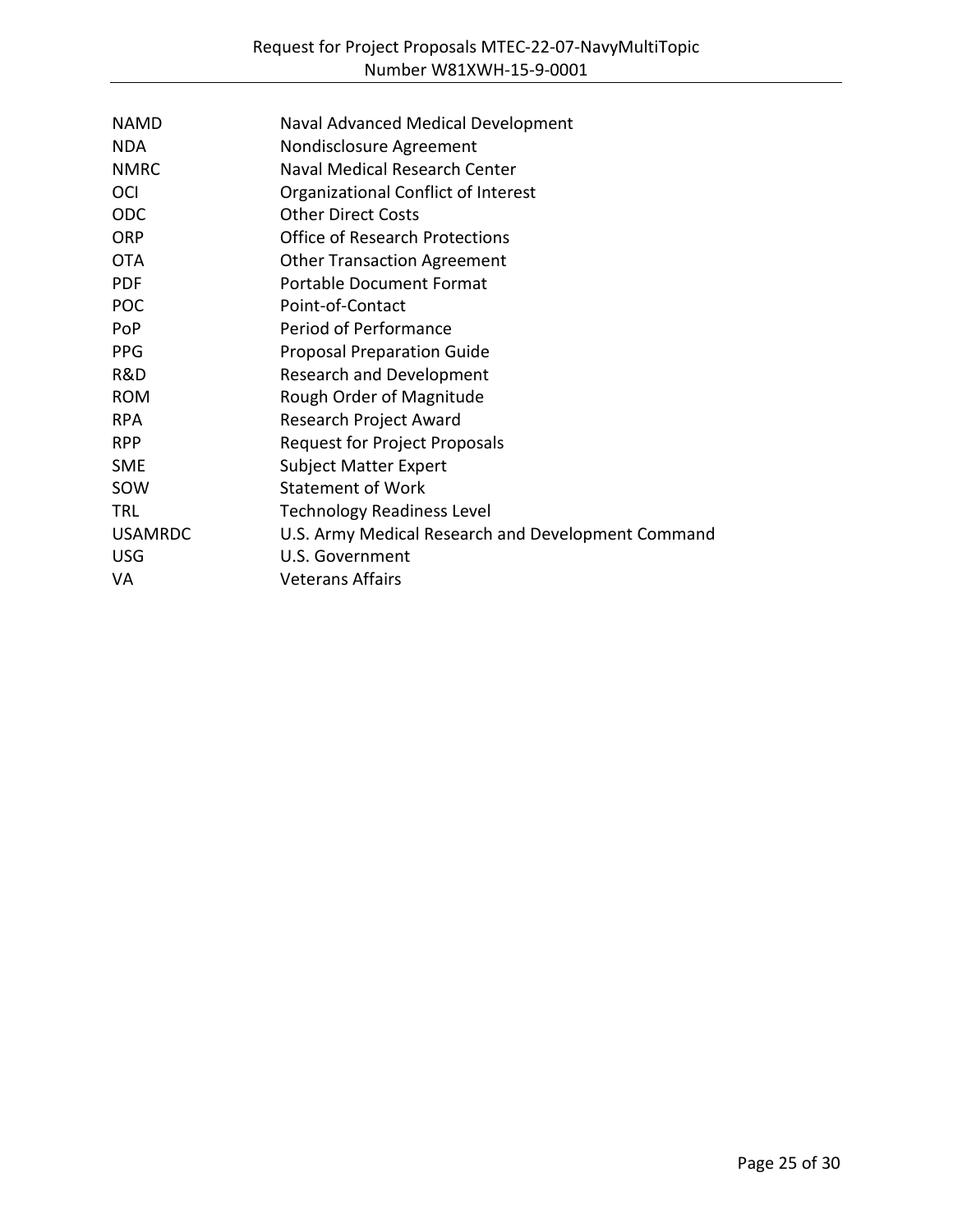| Naval Advanced Medical Development                 |
|----------------------------------------------------|
| Nondisclosure Agreement                            |
| Naval Medical Research Center                      |
| Organizational Conflict of Interest                |
| <b>Other Direct Costs</b>                          |
| <b>Office of Research Protections</b>              |
| <b>Other Transaction Agreement</b>                 |
| <b>Portable Document Format</b>                    |
| Point-of-Contact                                   |
| Period of Performance                              |
| <b>Proposal Preparation Guide</b>                  |
| <b>Research and Development</b>                    |
| Rough Order of Magnitude                           |
| Research Project Award                             |
| Request for Project Proposals                      |
| <b>Subject Matter Expert</b>                       |
| <b>Statement of Work</b>                           |
| <b>Technology Readiness Level</b>                  |
| U.S. Army Medical Research and Development Command |
| U.S. Government                                    |
| <b>Veterans Affairs</b>                            |
|                                                    |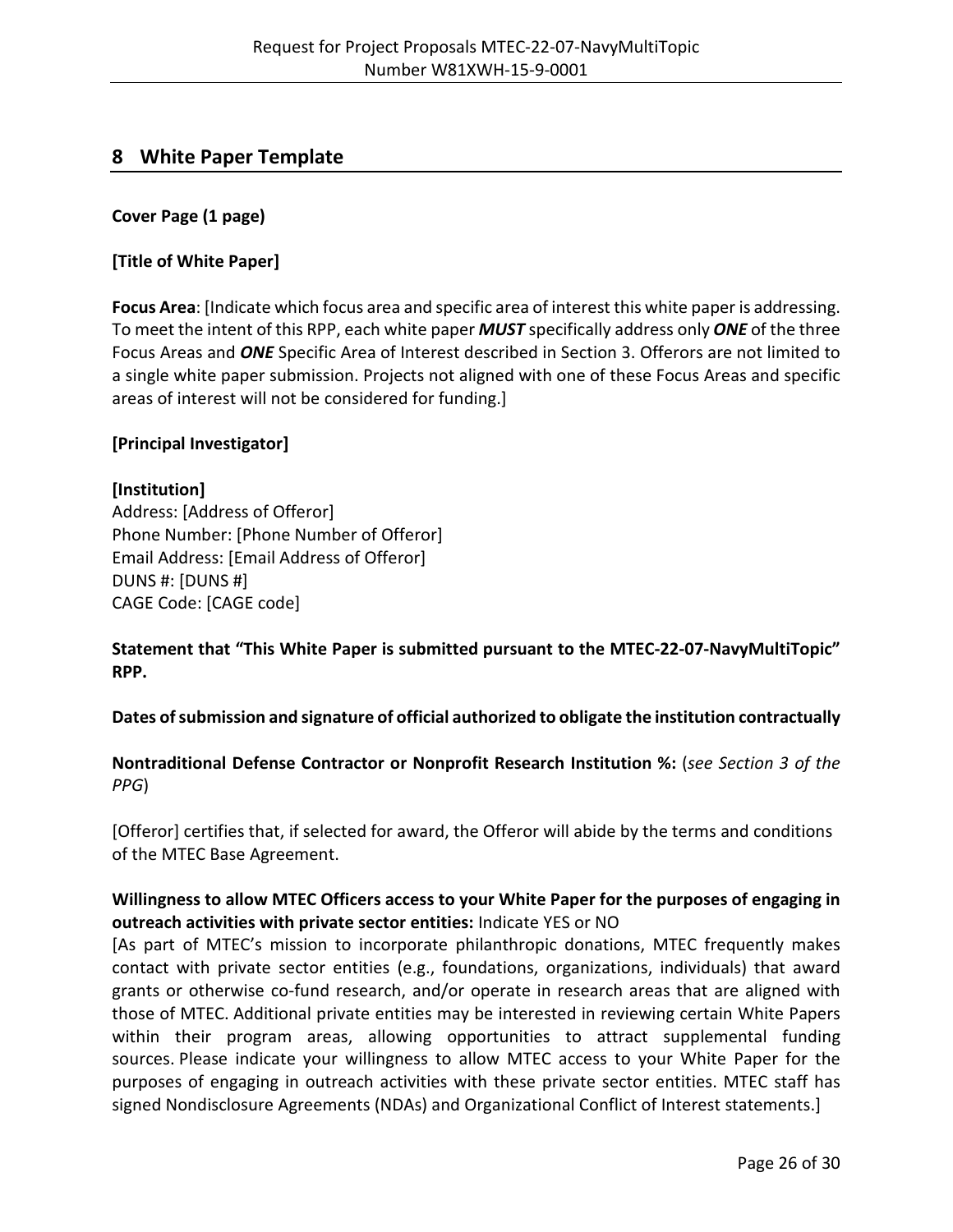# <span id="page-25-0"></span>**8 White Paper Template**

#### **Cover Page (1 page)**

#### **[Title of White Paper]**

**Focus Area**: [Indicate which focus area and specific area of interest this white paper is addressing. To meet the intent of this RPP, each white paper *MUST* specifically address only *ONE* of the three Focus Areas and *ONE* Specific Area of Interest described in Section 3. Offerors are not limited to a single white paper submission. Projects not aligned with one of these Focus Areas and specific areas of interest will not be considered for funding.]

#### **[Principal Investigator]**

#### **[Institution]**

Address: [Address of Offeror] Phone Number: [Phone Number of Offeror] Email Address: [Email Address of Offeror] DUNS #: [DUNS #] CAGE Code: [CAGE code]

**Statement that "This White Paper is submitted pursuant to the MTEC-22-07-NavyMultiTopic" RPP.**

#### **Dates of submission and signature of official authorized to obligate the institution contractually**

## **Nontraditional Defense Contractor or Nonprofit Research Institution %:** (*see Section 3 of the PPG*)

[Offeror] certifies that, if selected for award, the Offeror will abide by the terms and conditions of the MTEC Base Agreement.

#### **Willingness to allow MTEC Officers access to your White Paper for the purposes of engaging in outreach activities with private sector entities:** Indicate YES or NO

[As part of MTEC's mission to incorporate philanthropic donations, MTEC frequently makes contact with private sector entities (e.g., foundations, organizations, individuals) that award grants or otherwise co-fund research, and/or operate in research areas that are aligned with those of MTEC. Additional private entities may be interested in reviewing certain White Papers within their program areas, allowing opportunities to attract supplemental funding sources. Please indicate your willingness to allow MTEC access to your White Paper for the purposes of engaging in outreach activities with these private sector entities. MTEC staff has signed Nondisclosure Agreements (NDAs) and Organizational Conflict of Interest statements.]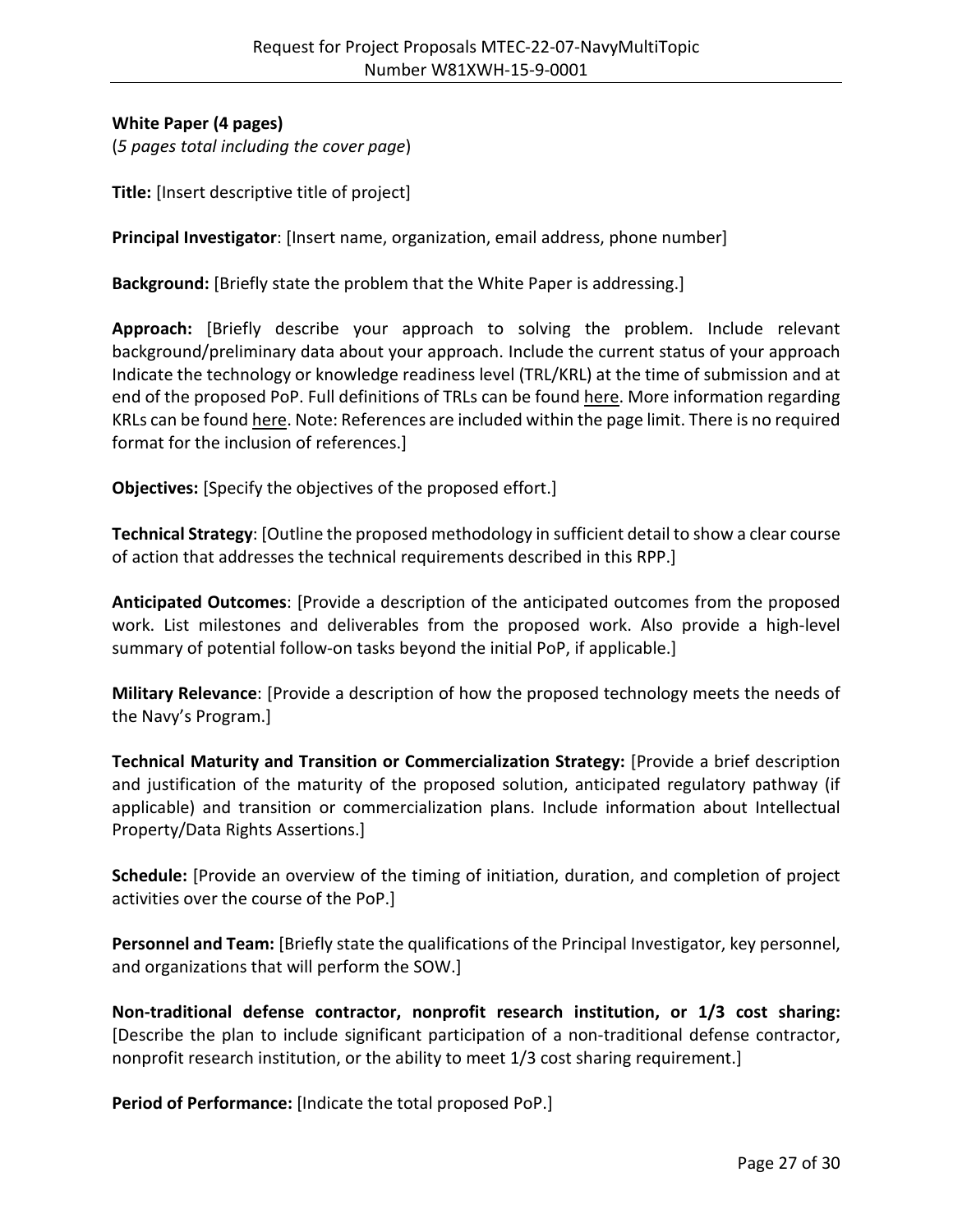# **White Paper (4 pages)**

(*5 pages total including the cover page*)

**Title:** [Insert descriptive title of project]

**Principal Investigator**: [Insert name, organization, email address, phone number]

**Background:** [Briefly state the problem that the White Paper is addressing.]

**Approach:** [Briefly describe your approach to solving the problem. Include relevant background/preliminary data about your approach. Include the current status of your approach Indicate the technology or knowledge readiness level (TRL/KRL) at the time of submission and at end of the proposed PoP. Full definitions of TRLs can be found [here.](https://mtec-sc.org/wp-content/uploads/2016/12/TRL-definitions.pdf) More information regarding KRLs can be found [here.](https://www.mtec-sc.org/wp-content/uploads/2020/12/Knowledge-Readiness-Levels-KRLs-Information.pdf) Note: References are included within the page limit. There is no required format for the inclusion of references.]

**Objectives:** [Specify the objectives of the proposed effort.]

**Technical Strategy**: [Outline the proposed methodology in sufficient detail to show a clear course of action that addresses the technical requirements described in this RPP.]

**Anticipated Outcomes**: [Provide a description of the anticipated outcomes from the proposed work. List milestones and deliverables from the proposed work. Also provide a high-level summary of potential follow-on tasks beyond the initial PoP, if applicable.]

**Military Relevance**: [Provide a description of how the proposed technology meets the needs of the Navy's Program.]

**Technical Maturity and Transition or Commercialization Strategy:** [Provide a brief description and justification of the maturity of the proposed solution, anticipated regulatory pathway (if applicable) and transition or commercialization plans. Include information about Intellectual Property/Data Rights Assertions.]

**Schedule:** [Provide an overview of the timing of initiation, duration, and completion of project activities over the course of the PoP.]

**Personnel and Team:** [Briefly state the qualifications of the Principal Investigator, key personnel, and organizations that will perform the SOW.]

**Non-traditional defense contractor, nonprofit research institution, or 1/3 cost sharing:**  [Describe the plan to include significant participation of a non-traditional defense contractor, nonprofit research institution, or the ability to meet 1/3 cost sharing requirement.]

**Period of Performance:** [Indicate the total proposed PoP.]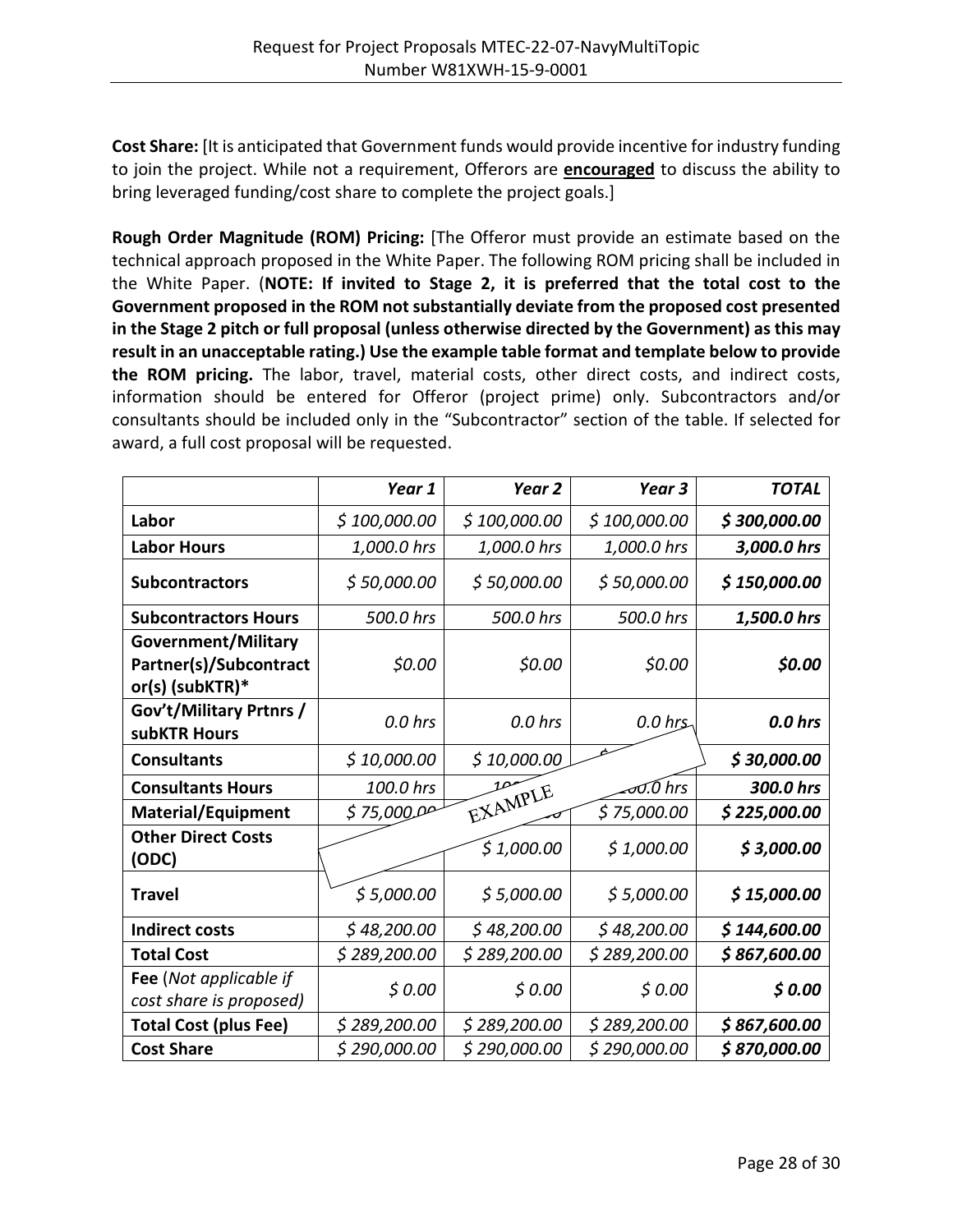**Cost Share:** [It is anticipated that Government funds would provide incentive for industry funding to join the project. While not a requirement, Offerors are **encouraged** to discuss the ability to bring leveraged funding/cost share to complete the project goals.]

**Rough Order Magnitude (ROM) Pricing:** [The Offeror must provide an estimate based on the technical approach proposed in the White Paper. The following ROM pricing shall be included in the White Paper. (**NOTE: If invited to Stage 2, it is preferred that the total cost to the Government proposed in the ROM not substantially deviate from the proposed cost presented in the Stage 2 pitch or full proposal (unless otherwise directed by the Government) as this may result in an unacceptable rating.) Use the example table format and template below to provide the ROM pricing.** The labor, travel, material costs, other direct costs, and indirect costs, information should be entered for Offeror (project prime) only. Subcontractors and/or consultants should be included only in the "Subcontractor" section of the table. If selected for award, a full cost proposal will be requested.

|                                                                  | Year 1       | Year <sub>2</sub> | Year <sub>3</sub> | <b>TOTAL</b> |
|------------------------------------------------------------------|--------------|-------------------|-------------------|--------------|
| Labor                                                            | \$100,000.00 | \$100,000.00      | \$100,000.00      | \$300,000.00 |
| <b>Labor Hours</b>                                               | 1,000.0 hrs  | 1,000.0 hrs       | 1,000.0 hrs       | 3,000.0 hrs  |
| <b>Subcontractors</b>                                            | \$50,000.00  | \$50,000.00       | \$50,000.00       | \$150,000.00 |
| <b>Subcontractors Hours</b>                                      | 500.0 hrs    | 500.0 hrs         | 500.0 hrs         | 1,500.0 hrs  |
| Government/Military<br>Partner(s)/Subcontract<br>or(s) (subKTR)* | \$0.00       | \$0.00            | \$0.00            | \$0.00       |
| Gov't/Military Prtnrs /<br>subKTR Hours                          | $0.0$ hrs    | $0.0$ hrs         | $0.0$ hrs         | 0.0 hrs      |
| <b>Consultants</b>                                               | \$10,000.00  | \$10,000.00       |                   | \$30,000.00  |
| <b>Consultants Hours</b>                                         | 100.0 hrs    | 10                | ਹ0.0 hrs          | 300.0 hrs    |
| <b>Material/Equipment</b>                                        | \$75,0000    | EXAMPLE           | \$75,000.00       | \$225,000.00 |
| <b>Other Direct Costs</b><br>(ODC)                               |              | \$1,000.00        | \$1,000.00        | \$3,000.00   |
| <b>Travel</b>                                                    | \$5,000.00   | \$5,000.00        | \$5,000.00        | \$15,000.00  |
| <b>Indirect costs</b>                                            | \$48,200.00  | \$48,200.00       | \$48,200.00       | \$144,600.00 |
| <b>Total Cost</b>                                                | \$289,200.00 | \$289,200.00      | \$289,200.00      | \$867,600.00 |
| Fee (Not applicable if<br>cost share is proposed)                | \$0.00       | \$0.00            | \$0.00            | \$0.00       |
| <b>Total Cost (plus Fee)</b>                                     | \$289,200.00 | \$289,200.00      | \$289,200.00      | \$867,600.00 |
| <b>Cost Share</b>                                                | \$290,000.00 | \$290,000.00      | \$290,000.00      | \$870,000.00 |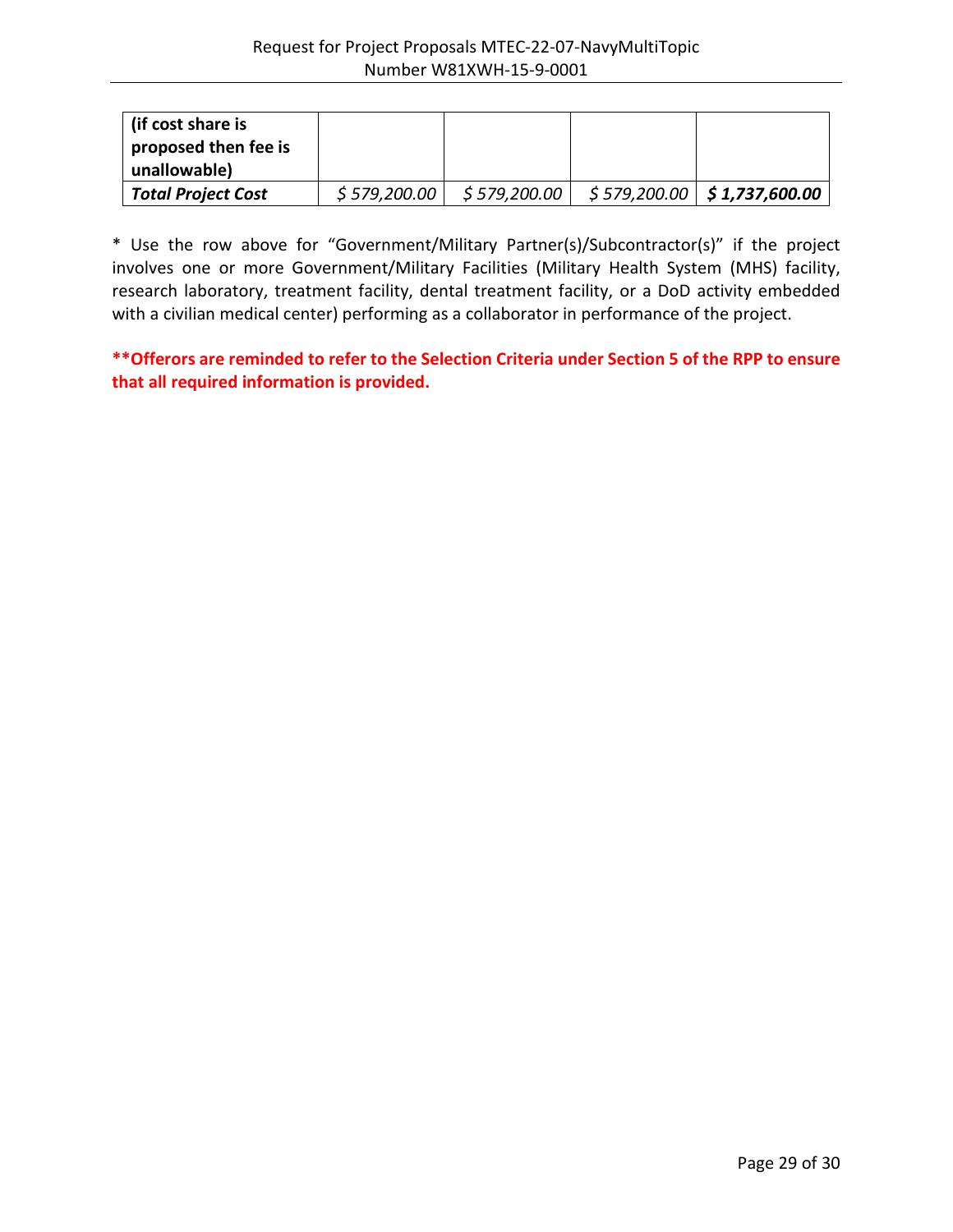| l (if cost share is<br>proposed then fee is<br>unallowable) |              |               |                                            |
|-------------------------------------------------------------|--------------|---------------|--------------------------------------------|
| <b>Total Project Cost</b>                                   | \$579,200.00 | \$ 579,200.00 | <i>\$</i> 579,200.00 <b>\$1,737,600.00</b> |

\* Use the row above for "Government/Military Partner(s)/Subcontractor(s)" if the project involves one or more Government/Military Facilities (Military Health System (MHS) facility, research laboratory, treatment facility, dental treatment facility, or a DoD activity embedded with a civilian medical center) performing as a collaborator in performance of the project.

**\*\*Offerors are reminded to refer to the Selection Criteria under Section 5 of the RPP to ensure that all required information is provided.**